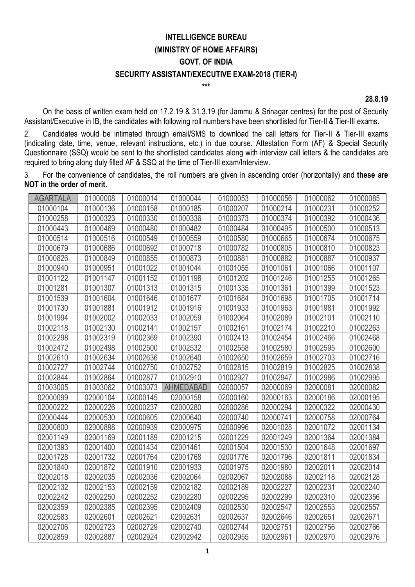## **INTELLIGENCE BUREAU (MINISTRY OF HOME AFFAIRS) GOVT. OF INDIA SECURITY ASSISTANT/EXECUTIVE EXAM-2018 (TIER-I)**

**\*\*\***

**28.8.19**

On the basis of written exam held on 17.2.19 & 31.3.19 (for Jammu & Srinagar centres) for the post of Security Assistant/Executive in IB, the candidates with following roll numbers have been shortlisted for Tier-II & Tier-III exams.

2. Candidates would be intimated through email/SMS to download the call letters for Tier-II & Tier-III exams (indicating date, time, venue, relevant instructions, etc.) in due course. Attestation Form (AF) & Special Security Questionnaire (SSQ) would be sent to the shortlisted candidates along with interview call letters & the candidates are required to bring along duly filled AF & SSQ at the time of Tier-III exam/Interview.

3. For the convenience of candidates, the roll numbers are given in ascending order (horizontally) and **these are NOT in the order of merit**.

| <b>AGARTALA</b> | 01000008 | 01000014 | 01000044         | 01000053 | 01000056 | 01000062 | 01000085 |
|-----------------|----------|----------|------------------|----------|----------|----------|----------|
| 01000104        | 01000136 | 01000158 | 01000185         | 01000207 | 01000214 | 01000231 | 01000252 |
| 01000258        | 01000323 | 01000330 | 01000336         | 01000373 | 01000374 | 01000392 | 01000436 |
| 01000443        | 01000469 | 01000480 | 01000482         | 01000484 | 01000495 | 01000500 | 01000513 |
| 01000514        | 01000516 | 01000549 | 01000559         | 01000580 | 01000665 | 01000674 | 01000675 |
| 01000679        | 01000686 | 01000692 | 01000718         | 01000782 | 01000805 | 01000810 | 01000823 |
| 01000826        | 01000849 | 01000855 | 01000873         | 01000881 | 01000882 | 01000887 | 01000937 |
| 01000940        | 01000951 | 01001022 | 01001044         | 01001055 | 01001061 | 01001066 | 01001107 |
| 01001122        | 01001147 | 01001152 | 01001198         | 01001202 | 01001246 | 01001255 | 01001265 |
| 01001281        | 01001307 | 01001313 | 01001315         | 01001335 | 01001361 | 01001399 | 01001523 |
| 01001539        | 01001604 | 01001646 | 01001677         | 01001684 | 01001698 | 01001705 | 01001714 |
| 01001730        | 01001881 | 01001912 | 01001916         | 01001933 | 01001963 | 01001981 | 01001992 |
| 01001994        | 01002002 | 01002033 | 01002059         | 01002064 | 01002089 | 01002101 | 01002110 |
| 01002118        | 01002130 | 01002141 | 01002157         | 01002161 | 01002174 | 01002210 | 01002263 |
| 01002298        | 01002319 | 01002369 | 01002390         | 01002413 | 01002454 | 01002466 | 01002468 |
| 01002472        | 01002498 | 01002500 | 01002532         | 01002558 | 01002580 | 01002595 | 01002600 |
| 01002610        | 01002634 | 01002636 | 01002640         | 01002650 | 01002659 | 01002703 | 01002716 |
| 01002727        | 01002744 | 01002750 | 01002752         | 01002815 | 01002819 | 01002825 | 01002838 |
| 01002844        | 01002864 | 01002877 | 01002910         | 01002927 | 01002947 | 01002986 | 01002995 |
| 01003005        | 01003062 | 01003073 | <b>AHMEDABAD</b> | 02000057 | 02000069 | 02000081 | 02000082 |
| 02000099        | 02000104 | 02000145 | 02000158         | 02000160 | 02000163 | 02000186 | 02000195 |
| 02000222        | 02000226 | 02000237 | 02000280         | 02000286 | 02000294 | 02000322 | 02000430 |
| 02000444        | 02000530 | 02000605 | 02000640         | 02000740 | 02000741 | 02000758 | 02000764 |
| 02000800        | 02000898 | 02000939 | 02000975         | 02000996 | 02001028 | 02001072 | 02001134 |
| 02001149        | 02001169 | 02001189 | 02001215         | 02001229 | 02001249 | 02001364 | 02001384 |
| 02001393        | 02001400 | 02001434 | 02001461         | 02001504 | 02001530 | 02001648 | 02001697 |
| 02001728        | 02001732 | 02001764 | 02001768         | 02001776 | 02001796 | 02001811 | 02001834 |
| 02001840        | 02001872 | 02001910 | 02001933         | 02001975 | 02001980 | 02002011 | 02002014 |
| 02002018        | 02002035 | 02002036 | 02002064         | 02002067 | 02002088 | 02002118 | 02002128 |
| 02002132        | 02002153 | 02002159 | 02002182         | 02002189 | 02002227 | 02002231 | 02002240 |
| 02002242        | 02002250 | 02002252 | 02002280         | 02002295 | 02002299 | 02002310 | 02002356 |
| 02002359        | 02002385 | 02002395 | 02002409         | 02002530 | 02002547 | 02002553 | 02002557 |
| 02002583        | 02002601 | 02002621 | 02002631         | 02002637 | 02002646 | 02002651 | 02002671 |
| 02002706        | 02002723 | 02002729 | 02002740         | 02002744 | 02002751 | 02002756 | 02002766 |
| 02002859        | 02002887 | 02002924 | 02002942         | 02002955 | 02002961 | 02002970 | 02002976 |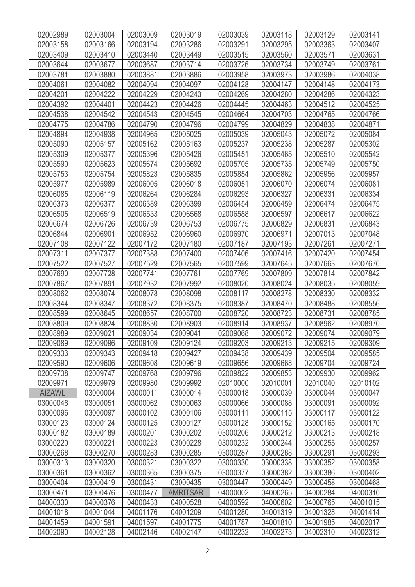| 02002989      | 02003004 | 02003009 | 02003019        | 02003039 | 02003118 | 02003129 | 02003141 |
|---------------|----------|----------|-----------------|----------|----------|----------|----------|
| 02003158      | 02003166 | 02003194 | 02003286        | 02003291 | 02003295 | 02003363 | 02003407 |
| 02003409      | 02003410 | 02003440 | 02003449        | 02003515 | 02003560 | 02003571 | 02003631 |
| 02003644      | 02003677 | 02003687 | 02003714        | 02003726 | 02003734 | 02003749 | 02003761 |
| 02003781      | 02003880 | 02003881 | 02003886        | 02003958 | 02003973 | 02003986 | 02004038 |
| 02004061      | 02004082 | 02004094 | 02004097        | 02004128 | 02004147 | 02004148 | 02004173 |
| 02004201      | 02004222 | 02004229 | 02004243        | 02004269 | 02004280 | 02004286 | 02004323 |
| 02004392      | 02004401 | 02004423 | 02004426        | 02004445 | 02004463 | 02004512 | 02004525 |
| 02004538      | 02004542 | 02004543 | 02004545        | 02004664 | 02004703 | 02004765 | 02004766 |
| 02004775      | 02004786 | 02004790 | 02004796        | 02004799 | 02004829 | 02004838 | 02004871 |
| 02004894      | 02004938 | 02004965 | 02005025        | 02005039 | 02005043 | 02005072 | 02005084 |
| 02005090      | 02005157 | 02005162 | 02005163        | 02005237 | 02005238 | 02005287 | 02005302 |
| 02005309      | 02005377 | 02005396 | 02005426        | 02005451 | 02005465 | 02005510 | 02005542 |
| 02005590      | 02005623 | 02005674 | 02005692        | 02005705 | 02005735 | 02005749 | 02005750 |
| 02005753      | 02005754 | 02005823 | 02005835        | 02005854 | 02005862 | 02005956 | 02005957 |
| 02005977      | 02005989 | 02006005 | 02006018        | 02006051 | 02006070 | 02006074 | 02006081 |
| 02006085      | 02006119 | 02006264 | 02006284        | 02006293 | 02006327 | 02006331 | 02006334 |
| 02006373      | 02006377 | 02006389 | 02006399        | 02006454 | 02006459 | 02006474 | 02006475 |
| 02006505      | 02006519 | 02006533 | 02006568        | 02006588 | 02006597 | 02006617 | 02006622 |
| 02006674      | 02006726 | 02006739 | 02006753        | 02006775 | 02006829 | 02006831 | 02006843 |
| 02006844      | 02006901 | 02006952 | 02006960        | 02006970 | 02006971 | 02007013 | 02007048 |
| 02007108      | 02007122 | 02007172 | 02007180        | 02007187 | 02007193 | 02007261 | 02007271 |
| 02007311      | 02007377 | 02007388 | 02007400        | 02007406 | 02007416 | 02007420 | 02007454 |
| 02007522      | 02007527 | 02007529 | 02007565        | 02007599 | 02007645 | 02007663 | 02007670 |
| 02007690      | 02007728 | 02007741 | 02007761        | 02007769 | 02007809 | 02007814 | 02007842 |
| 02007867      | 02007891 | 02007932 | 02007992        | 02008020 | 02008024 | 02008035 | 02008059 |
| 02008062      | 02008074 | 02008078 | 02008098        | 02008117 | 02008278 | 02008330 | 02008332 |
| 02008344      | 02008347 | 02008372 | 02008375        | 02008387 | 02008470 | 02008488 | 02008556 |
| 02008599      | 02008645 | 02008657 | 02008700        | 02008720 | 02008723 | 02008731 | 02008785 |
| 02008809      | 02008824 | 02008830 | 02008903        | 02008914 | 02008937 | 02008962 | 02008970 |
| 02008989      | 02009021 | 02009034 | 02009041        | 02009068 | 02009072 | 02009074 | 02009079 |
| 02009089      | 02009096 | 02009109 | 02009124        | 02009203 | 02009213 | 02009215 | 02009309 |
| 02009333      | 02009343 | 02009418 | 02009427        | 02009438 | 02009439 | 02009504 | 02009585 |
| 02009590      | 02009606 | 02009608 | 02009619        | 02009656 | 02009668 | 02009704 | 02009724 |
| 02009738      | 02009747 | 02009768 | 02009796        | 02009822 | 02009853 | 02009930 | 02009962 |
| 02009971      | 02009979 | 02009980 | 02009992        | 02010000 | 02010001 | 02010040 | 02010102 |
| <b>AIZAWL</b> | 03000004 | 03000011 | 03000014        | 03000018 | 03000039 | 03000044 | 03000047 |
| 03000048      | 03000051 | 03000062 | 03000063        | 03000066 | 03000088 | 03000091 | 03000092 |
| 03000096      | 03000097 | 03000102 | 03000106        | 03000111 | 03000115 | 03000117 | 03000122 |
| 03000123      | 03000124 | 03000125 | 03000127        | 03000128 | 03000152 | 03000165 | 03000170 |
| 03000182      | 03000189 | 03000201 | 03000202        | 03000206 | 03000212 | 03000213 | 03000218 |
| 03000220      | 03000221 | 03000223 | 03000228        | 03000232 | 03000244 | 03000255 | 03000257 |
| 03000268      | 03000270 | 03000283 | 03000285        | 03000287 | 03000288 | 03000291 | 03000293 |
| 03000313      | 03000320 | 03000321 | 03000322        | 03000330 | 03000338 | 03000352 | 03000358 |
| 03000361      | 03000362 | 03000365 | 03000375        | 03000377 | 03000382 | 03000386 | 03000402 |
| 03000404      | 03000419 | 03000431 | 03000435        | 03000447 | 03000449 | 03000458 | 03000468 |
| 03000471      | 03000476 | 03000477 | <b>AMRITSAR</b> | 04000002 | 04000265 | 04000284 | 04000310 |
| 04000330      | 04000376 | 04000433 | 04000528        | 04000592 | 04000602 | 04000765 | 04001015 |
| 04001018      | 04001044 | 04001176 | 04001209        | 04001280 | 04001319 | 04001328 | 04001414 |
| 04001459      | 04001591 | 04001597 | 04001775        | 04001787 | 04001810 | 04001985 | 04002017 |
| 04002090      | 04002128 | 04002146 | 04002147        | 04002232 | 04002273 | 04002310 | 04002312 |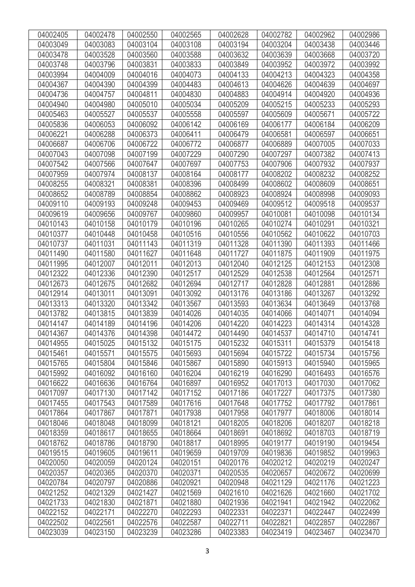| 04002405 | 04002478 | 04002550 | 04002565 | 04002628 | 04002782 | 04002962 | 04002986 |
|----------|----------|----------|----------|----------|----------|----------|----------|
| 04003049 | 04003083 | 04003104 | 04003108 | 04003194 | 04003204 | 04003438 | 04003446 |
| 04003478 | 04003528 | 04003560 | 04003588 | 04003632 | 04003639 | 04003668 | 04003720 |
| 04003748 | 04003796 | 04003831 | 04003833 | 04003849 | 04003952 | 04003972 | 04003992 |
| 04003994 | 04004009 | 04004016 | 04004073 | 04004133 | 04004213 | 04004323 | 04004358 |
| 04004367 | 04004390 | 04004399 | 04004483 | 04004613 | 04004626 | 04004639 | 04004697 |
| 04004736 | 04004757 | 04004811 | 04004830 | 04004883 | 04004914 | 04004920 | 04004936 |
| 04004940 | 04004980 | 04005010 | 04005034 | 04005209 | 04005215 | 04005233 | 04005293 |
| 04005463 | 04005527 | 04005537 | 04005558 | 04005597 | 04005609 | 04005671 | 04005722 |
| 04005836 | 04006053 | 04006092 | 04006142 | 04006169 | 04006177 | 04006184 | 04006209 |
| 04006221 | 04006288 | 04006373 | 04006411 | 04006479 | 04006581 | 04006597 | 04006651 |
| 04006687 | 04006706 | 04006722 | 04006772 | 04006877 | 04006889 | 04007005 | 04007033 |
| 04007043 | 04007098 | 04007199 | 04007229 | 04007290 | 04007297 | 04007382 | 04007413 |
| 04007542 | 04007566 | 04007647 | 04007697 | 04007753 | 04007906 | 04007932 | 04007937 |
| 04007959 | 04007974 | 04008137 | 04008164 | 04008177 | 04008202 | 04008232 | 04008252 |
| 04008255 | 04008321 | 04008381 | 04008396 | 04008499 | 04008602 | 04008609 | 04008651 |
| 04008652 | 04008789 | 04008854 | 04008862 | 04008923 | 04008924 | 04008998 | 04009093 |
| 04009110 | 04009193 | 04009248 | 04009453 | 04009469 | 04009512 | 04009518 | 04009537 |
| 04009619 | 04009656 | 04009767 | 04009860 | 04009957 | 04010081 | 04010098 | 04010134 |
| 04010143 | 04010158 | 04010179 | 04010196 | 04010265 | 04010274 | 04010291 | 04010321 |
| 04010377 | 04010448 | 04010458 | 04010516 | 04010556 | 04010562 | 04010622 | 04010703 |
| 04010737 | 04011031 | 04011143 | 04011319 | 04011328 | 04011390 | 04011393 | 04011466 |
| 04011490 | 04011580 | 04011627 | 04011648 | 04011727 | 04011875 | 04011909 | 04011975 |
| 04011995 | 04012007 | 04012011 | 04012013 | 04012040 | 04012125 | 04012153 | 04012308 |
| 04012322 | 04012336 | 04012390 | 04012517 | 04012529 | 04012538 | 04012564 | 04012571 |
| 04012673 | 04012675 | 04012682 | 04012694 | 04012717 | 04012828 | 04012881 | 04012886 |
| 04012914 | 04013011 | 04013091 | 04013092 | 04013176 | 04013186 | 04013267 | 04013292 |
| 04013313 | 04013320 | 04013342 | 04013567 | 04013593 | 04013634 | 04013649 | 04013768 |
| 04013782 | 04013815 | 04013839 | 04014026 | 04014035 | 04014066 | 04014071 | 04014094 |
| 04014147 | 04014189 | 04014196 | 04014206 | 04014220 | 04014223 | 04014314 | 04014328 |
| 04014367 | 04014376 | 04014398 | 04014472 | 04014490 | 04014537 | 04014710 | 04014741 |
| 04014955 | 04015025 | 04015132 | 04015175 | 04015232 | 04015311 | 04015379 | 04015418 |
| 04015461 | 04015571 | 04015575 | 04015693 | 04015694 | 04015722 | 04015734 | 04015756 |
| 04015765 | 04015804 | 04015846 | 04015867 | 04015890 | 04015913 | 04015940 | 04015965 |
| 04015992 | 04016092 | 04016160 | 04016204 | 04016219 | 04016290 | 04016493 | 04016576 |
| 04016622 | 04016636 | 04016764 | 04016897 | 04016952 | 04017013 | 04017030 | 04017062 |
| 04017097 | 04017130 | 04017142 | 04017152 | 04017186 | 04017227 | 04017375 | 04017380 |
| 04017455 | 04017543 | 04017589 | 04017616 | 04017648 | 04017752 | 04017792 | 04017861 |
| 04017864 | 04017867 | 04017871 | 04017938 | 04017958 | 04017977 | 04018006 | 04018014 |
| 04018046 | 04018048 | 04018099 | 04018121 | 04018205 | 04018206 | 04018207 | 04018218 |
| 04018359 | 04018617 | 04018655 | 04018664 | 04018691 | 04018692 | 04018703 | 04018719 |
| 04018762 | 04018786 | 04018790 | 04018817 | 04018995 | 04019177 | 04019190 | 04019454 |
| 04019515 | 04019605 | 04019611 | 04019659 | 04019709 | 04019836 | 04019852 | 04019963 |
| 04020050 | 04020059 | 04020124 | 04020151 | 04020176 | 04020212 | 04020219 | 04020247 |
| 04020357 | 04020365 | 04020370 | 04020371 | 04020535 | 04020657 | 04020672 | 04020699 |
| 04020784 | 04020797 | 04020886 | 04020921 | 04020948 | 04021129 | 04021176 | 04021223 |
| 04021252 | 04021329 | 04021427 | 04021569 | 04021610 | 04021626 | 04021660 | 04021702 |
| 04021733 | 04021830 | 04021871 | 04021880 | 04021936 | 04021941 | 04021942 | 04022062 |
| 04022152 | 04022171 | 04022270 | 04022293 | 04022331 | 04022371 | 04022447 | 04022499 |
| 04022502 | 04022561 | 04022576 | 04022587 | 04022711 | 04022821 | 04022857 | 04022867 |
| 04023039 | 04023150 | 04023239 | 04023286 | 04023383 | 04023419 | 04023467 | 04023470 |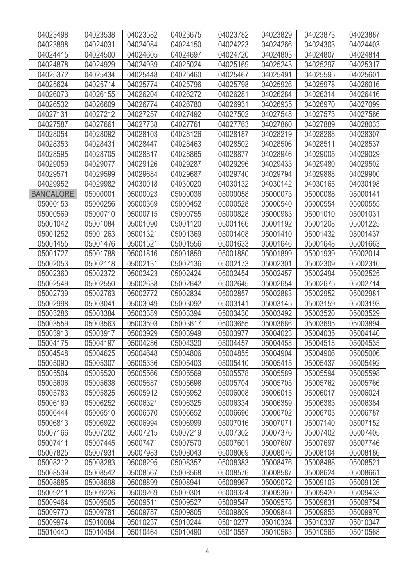| 04023498         | 04023538 | 04023582 | 04023675 | 04023782 | 04023829 | 04023873 | 04023887 |
|------------------|----------|----------|----------|----------|----------|----------|----------|
| 04023898         | 04024031 | 04024084 | 04024150 | 04024223 | 04024266 | 04024303 | 04024403 |
| 04024415         | 04024500 | 04024605 | 04024697 | 04024720 | 04024803 | 04024807 | 04024814 |
| 04024878         | 04024929 | 04024939 | 04025024 | 04025169 | 04025243 | 04025297 | 04025317 |
| 04025372         | 04025434 | 04025448 | 04025460 | 04025467 | 04025491 | 04025595 | 04025601 |
| 04025624         | 04025714 | 04025774 | 04025796 | 04025798 | 04025926 | 04025978 | 04026016 |
| 04026073         | 04026155 | 04026204 | 04026272 | 04026281 | 04026284 | 04026314 | 04026416 |
| 04026532         | 04026609 | 04026774 | 04026780 | 04026931 | 04026935 | 04026970 | 04027099 |
| 04027131         | 04027212 | 04027257 | 04027492 | 04027502 | 04027548 | 04027573 | 04027586 |
| 04027587         | 04027661 | 04027738 | 04027761 | 04027763 | 04027860 | 04027889 | 04028033 |
| 04028054         | 04028092 | 04028103 | 04028126 | 04028187 | 04028219 | 04028288 | 04028307 |
| 04028353         | 04028431 | 04028447 | 04028463 | 04028502 | 04028506 | 04028511 | 04028537 |
| 04028595         | 04028705 | 04028817 | 04028865 | 04028877 | 04028946 | 04029005 | 04029029 |
| 04029059         | 04029077 | 04029126 | 04029287 | 04029296 | 04029433 | 04029480 | 04029502 |
| 04029571         | 04029599 | 04029684 | 04029687 | 04029740 | 04029794 | 04029888 | 04029900 |
| 04029952         | 04029982 | 04030018 | 04030020 | 04030132 | 04030142 | 04030165 | 04030198 |
| <b>BANGALORE</b> | 05000001 | 05000023 | 05000036 | 05000058 | 05000073 | 05000088 | 05000141 |
| 05000153         | 05000256 | 05000369 | 05000452 | 05000528 | 05000540 | 05000554 | 05000555 |
| 05000569         | 05000710 | 05000715 | 05000755 | 05000828 | 05000983 | 05001010 | 05001031 |
| 05001042         | 05001084 | 05001090 | 05001120 | 05001166 | 05001192 | 05001208 | 05001225 |
| 05001252         | 05001263 | 05001321 | 05001369 | 05001408 | 05001410 | 05001432 | 05001437 |
| 05001455         | 05001476 | 05001521 | 05001556 | 05001633 | 05001646 | 05001648 | 05001663 |
| 05001727         | 05001788 | 05001816 | 05001859 | 05001880 | 05001899 | 05001939 | 05002014 |
| 05002053         | 05002118 | 05002131 | 05002136 | 05002173 | 05002301 | 05002309 | 05002310 |
| 05002360         | 05002372 | 05002423 | 05002424 | 05002454 | 05002457 | 05002494 | 05002525 |
| 05002549         | 05002550 | 05002638 | 05002642 | 05002645 | 05002654 | 05002675 | 05002714 |
| 05002739         | 05002763 | 05002772 | 05002834 | 05002857 | 05002883 | 05002952 | 05002981 |
| 05002998         | 05003041 | 05003049 | 05003092 | 05003141 | 05003145 | 05003159 | 05003193 |
| 05003286         | 05003384 | 05003389 | 05003394 | 05003430 | 05003492 | 05003520 | 05003529 |
| 05003559         | 05003563 | 05003593 | 05003617 | 05003655 | 05003686 | 05003695 | 05003894 |
| 05003913         | 05003917 | 05003929 | 05003949 | 05003977 | 05004023 | 05004035 | 05004140 |
| 05004175         | 05004197 | 05004286 | 05004320 | 05004457 | 05004458 | 05004518 | 05004535 |
| 05004548         | 05004625 | 05004648 | 05004806 | 05004855 | 05004904 | 05004906 | 05005006 |
| 05005090         | 05005307 | 05005336 | 05005403 | 05005410 | 05005415 | 05005437 | 05005492 |
| 05005504         | 05005520 | 05005566 | 05005569 | 05005578 | 05005589 | 05005594 | 05005598 |
| 05005606         | 05005638 | 05005687 | 05005698 | 05005704 | 05005705 | 05005762 | 05005766 |
| 05005783         | 05005825 | 05005912 | 05005952 | 05006008 | 05006015 | 05006017 | 05006024 |
| 05006189         | 05006252 | 05006321 | 05006325 | 05006334 | 05006359 | 05006383 | 05006384 |
| 05006444         | 05006510 | 05006570 | 05006652 | 05006696 | 05006702 | 05006703 | 05006787 |
| 05006813         | 05006922 | 05006994 | 05006999 | 05007016 | 05007071 | 05007140 | 05007152 |
| 05007166         | 05007202 | 05007215 | 05007219 | 05007302 | 05007376 | 05007402 | 05007405 |
| 05007411         | 05007445 | 05007471 | 05007570 | 05007601 | 05007607 | 05007697 | 05007746 |
| 05007825         | 05007931 | 05007983 | 05008043 | 05008069 | 05008076 | 05008104 | 05008186 |
| 05008212         | 05008283 | 05008295 | 05008357 | 05008383 | 05008476 | 05008488 | 05008521 |
| 05008539         | 05008542 | 05008567 | 05008568 | 05008576 | 05008587 | 05008624 | 05008661 |
| 05008685         | 05008698 | 05008899 | 05008941 | 05008967 | 05009072 | 05009103 | 05009126 |
| 05009211         | 05009226 | 05009269 | 05009301 | 05009324 | 05009360 | 05009420 | 05009433 |
| 05009464         | 05009505 | 05009511 | 05009527 | 05009547 | 05009578 | 05009631 | 05009754 |
| 05009770         | 05009781 | 05009787 | 05009805 | 05009809 | 05009844 | 05009853 | 05009970 |
| 05009974         | 05010084 | 05010237 | 05010244 | 05010277 | 05010324 | 05010337 | 05010347 |
| 05010440         | 05010454 | 05010464 | 05010490 | 05010557 | 05010563 | 05010565 | 05010568 |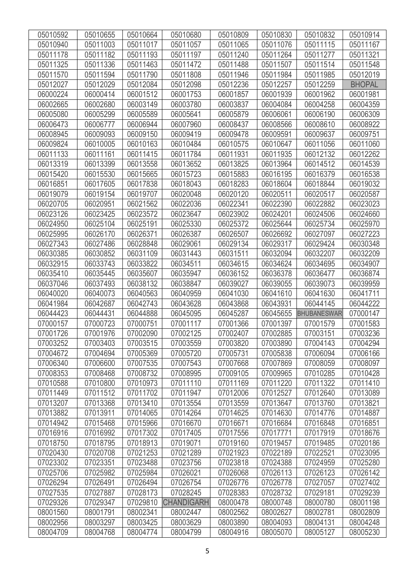| 05010592 | 05010655 | 05010664 | 05010680          | 05010809 | 05010830 | 05010832           | 05010914      |
|----------|----------|----------|-------------------|----------|----------|--------------------|---------------|
| 05010940 | 05011003 | 05011017 | 05011057          | 05011065 | 05011076 | 05011115           | 05011167      |
| 05011178 | 05011182 | 05011193 | 05011197          | 05011240 | 05011264 | 05011277           | 05011321      |
| 05011325 | 05011336 | 05011463 | 05011472          | 05011488 | 05011507 | 05011514           | 05011548      |
| 05011570 | 05011594 | 05011790 | 05011808          | 05011946 | 05011984 | 05011985           | 05012019      |
| 05012027 | 05012029 | 05012084 | 05012098          | 05012236 | 05012257 | 05012259           | <b>BHOPAL</b> |
| 06000224 | 06000414 | 06001512 | 06001753          | 06001857 | 06001939 | 06001962           | 06001981      |
| 06002665 | 06002680 | 06003149 | 06003780          | 06003837 | 06004084 | 06004258           | 06004359      |
| 06005080 | 06005299 | 06005589 | 06005641          | 06005879 | 06006061 | 06006190           | 06006309      |
| 06006473 | 06006777 | 06006944 | 06007960          | 06008437 | 06008566 | 06008610           | 06008922      |
| 06008945 | 06009093 | 06009150 | 06009419          | 06009478 | 06009591 | 06009637           | 06009751      |
| 06009824 | 06010005 | 06010163 | 06010484          | 06010575 | 06010647 | 06011056           | 06011060      |
| 06011133 | 06011161 | 06011415 | 06011784          | 06011931 | 06011935 | 06012132           | 06012262      |
| 06013319 | 06013399 | 06013558 | 06013652          | 06013825 | 06013964 | 06014512           | 06014539      |
| 06015420 | 06015530 | 06015665 | 06015723          | 06015883 | 06016195 | 06016379           | 06016538      |
| 06016851 | 06017605 | 06017838 | 06018043          | 06018283 | 06018604 | 06018844           | 06019032      |
| 06019079 | 06019154 | 06019707 | 06020048          | 06020120 | 06020511 | 06020517           | 06020587      |
| 06020705 | 06020951 | 06021562 | 06022036          | 06022341 | 06022390 | 06022882           | 06023023      |
| 06023126 | 06023425 | 06023572 | 06023647          | 06023902 | 06024201 | 06024506           | 06024660      |
| 06024950 | 06025104 | 06025191 | 06025330          | 06025372 | 06025644 | 06025734           | 06025970      |
| 06025995 | 06026170 | 06026371 | 06026387          | 06026507 | 06026692 | 06027097           | 06027223      |
| 06027343 | 06027486 | 06028848 | 06029061          | 06029134 | 06029317 | 06029424           | 06030348      |
| 06030385 | 06030852 | 06031109 | 06031443          | 06031511 | 06032094 | 06032207           | 06032209      |
| 06032915 | 06033743 | 06033822 | 06034511          | 06034615 | 06034624 | 06034695           | 06034907      |
| 06035410 | 06035445 | 06035607 | 06035947          | 06036152 | 06036378 | 06036477           | 06036874      |
| 06037046 | 06037493 | 06038132 | 06038847          | 06039027 | 06039055 | 06039073           | 06039959      |
| 06040020 | 06040073 | 06040563 | 06040959          | 06041030 | 06041610 | 06041630           | 06041711      |
| 06041984 | 06042687 | 06042743 | 06043628          | 06043868 | 06043931 | 06044145           | 06044222      |
| 06044423 | 06044431 | 06044888 | 06045095          | 06045287 | 06045655 | <b>BHUBANESWAR</b> | 07000147      |
| 07000157 | 07000723 | 07000751 | 07001117          | 07001366 | 07001397 | 07001579           | 07001583      |
| 07001726 | 07001976 | 07002090 | 07002125          | 07002407 | 07002885 | 07003151           | 07003236      |
| 07003252 | 07003403 | 07003515 | 07003559          | 07003820 | 07003890 | 07004143           | 07004294      |
| 07004672 | 07004694 | 07005369 | 07005720          | 07005731 | 07005838 | 07006094           | 07006166      |
| 07006340 | 07006600 | 07007535 | 07007543          | 07007668 | 07007869 | 07008059           | 07008097      |
| 07008353 | 07008468 | 07008732 | 07008995          | 07009105 | 07009965 | 07010285           | 07010428      |
| 07010588 | 07010800 | 07010973 | 07011110          | 07011169 | 07011220 | 07011322           | 07011410      |
| 07011449 | 07011512 | 07011702 | 07011947          | 07012006 | 07012527 | 07012640           | 07013089      |
| 07013207 | 07013368 | 07013410 | 07013554          | 07013559 | 07013647 | 07013760           | 07013821      |
| 07013882 | 07013911 | 07014065 | 07014264          | 07014625 | 07014630 | 07014776           | 07014887      |
| 07014942 | 07015468 | 07015966 | 07016670          | 07016671 | 07016684 | 07016848           | 07016851      |
| 07016916 | 07016992 | 07017302 | 07017405          | 07017556 | 07017771 | 07017919           | 07018676      |
| 07018750 | 07018795 | 07018913 | 07019071          | 07019160 | 07019457 | 07019485           | 07020186      |
| 07020430 | 07020708 | 07021253 | 07021289          | 07021923 | 07022189 | 07022521           | 07023095      |
| 07023302 | 07023351 | 07023488 | 07023756          | 07023818 | 07024388 | 07024959           | 07025280      |
| 07025706 | 07025982 | 07025984 | 07026021          | 07026068 | 07026113 | 07026123           | 07026142      |
| 07026294 | 07026491 | 07026494 | 07026754          | 07026776 | 07026778 | 07027057           | 07027402      |
| 07027535 | 07027887 | 07028173 | 07028245          | 07028383 | 07028732 | 07029181           | 07029239      |
| 07029326 | 07029347 | 07029810 | <b>CHANDIGARH</b> | 08000478 | 08000748 | 08000780           | 08001198      |
| 08001560 | 08001791 | 08002341 | 08002447          | 08002562 | 08002627 | 08002781           | 08002809      |
| 08002956 | 08003297 | 08003425 | 08003629          | 08003890 | 08004093 | 08004131           | 08004248      |
| 08004709 | 08004768 | 08004774 | 08004799          | 08004916 | 08005070 | 08005127           | 08005230      |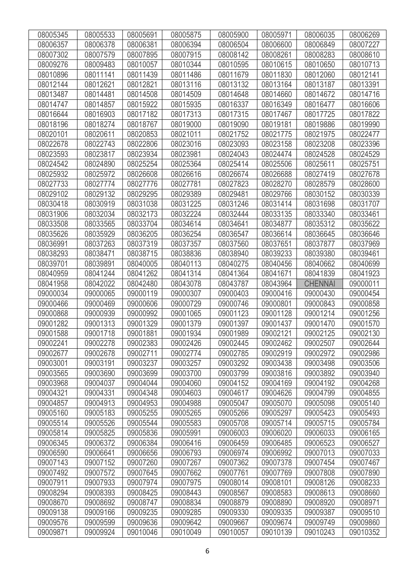| 08005345 | 08005533 | 08005691 | 08005875 | 08005900 | 08005971 | 08006035       | 08006269 |
|----------|----------|----------|----------|----------|----------|----------------|----------|
| 08006357 | 08006378 | 08006381 | 08006394 | 08006504 | 08006600 | 08006849       | 08007227 |
| 08007302 | 08007579 | 08007895 | 08007915 | 08008142 | 08008261 | 08008283       | 08008610 |
| 08009276 | 08009483 | 08010057 | 08010344 | 08010595 | 08010615 | 08010650       | 08010713 |
| 08010896 | 08011141 | 08011439 | 08011486 | 08011679 | 08011830 | 08012060       | 08012141 |
| 08012144 | 08012621 | 08012821 | 08013116 | 08013132 | 08013164 | 08013187       | 08013391 |
| 08013487 | 08014481 | 08014508 | 08014509 | 08014648 | 08014660 | 08014672       | 08014716 |
| 08014747 | 08014857 | 08015922 | 08015935 | 08016337 | 08016349 | 08016477       | 08016606 |
| 08016644 | 08016903 | 08017182 | 08017313 | 08017315 | 08017467 | 08017725       | 08017822 |
| 08018196 | 08018274 | 08018767 | 08019000 | 08019090 | 08019181 | 08019886       | 08019990 |
| 08020101 | 08020611 | 08020853 | 08021011 | 08021752 | 08021775 | 08021975       | 08022477 |
| 08022678 | 08022743 | 08022806 | 08023016 | 08023093 | 08023158 | 08023208       | 08023396 |
| 08023593 | 08023817 | 08023934 | 08023981 | 08024043 | 08024474 | 08024528       | 08024529 |
| 08024542 | 08024890 | 08025254 | 08025364 | 08025414 | 08025506 | 08025611       | 08025751 |
| 08025932 | 08025972 | 08026608 | 08026616 | 08026674 | 08026688 | 08027419       | 08027678 |
| 08027733 | 08027774 | 08027776 | 08027781 | 08027823 | 08028270 | 08028579       | 08028600 |
| 08029102 | 08029132 | 08029295 | 08029389 | 08029481 | 08029766 | 08030152       | 08030339 |
| 08030418 | 08030919 | 08031038 | 08031225 | 08031246 | 08031414 | 08031698       | 08031707 |
| 08031906 | 08032034 | 08032173 | 08032224 | 08032444 | 08033135 | 08033340       | 08033461 |
| 08033508 | 08033565 | 08033704 | 08034614 | 08034641 | 08034877 | 08035312       | 08035622 |
| 08035626 | 08035929 | 08036205 | 08036254 | 08036547 | 08036614 | 08036645       | 08036646 |
| 08036991 | 08037263 | 08037319 | 08037357 | 08037560 | 08037651 | 08037877       | 08037969 |
| 08038293 | 08038471 | 08038715 | 08038836 | 08038940 | 08039233 | 08039380       | 08039461 |
| 08039701 | 08039891 | 08040005 | 08040113 | 08040275 | 08040456 | 08040662       | 08040699 |
| 08040959 | 08041244 | 08041262 | 08041314 | 08041364 | 08041671 | 08041839       | 08041923 |
| 08041958 | 08042022 | 08042480 | 08043078 | 08043787 | 08043964 | <b>CHENNAI</b> | 09000011 |
| 09000034 | 09000065 | 09000119 | 09000307 | 09000403 | 09000416 | 09000430       | 09000454 |
| 09000466 | 09000469 | 09000606 | 09000729 | 09000746 | 09000801 | 09000843       | 09000858 |
| 09000868 | 09000939 | 09000992 | 09001065 | 09001123 | 09001128 | 09001214       | 09001256 |
| 09001282 | 09001313 | 09001329 | 09001379 | 09001397 | 09001437 | 09001470       | 09001570 |
| 09001588 | 09001718 | 09001881 | 09001934 | 09001989 | 09002121 | 09002125       | 09002130 |
| 09002241 | 09002278 | 09002383 | 09002426 | 09002445 | 09002462 | 09002507       | 09002644 |
| 09002677 | 09002678 | 09002711 | 09002774 | 09002785 | 09002919 | 09002972       | 09002986 |
| 09003001 | 09003191 | 09003237 | 09003257 | 09003292 | 09003438 | 09003498       | 09003506 |
| 09003565 | 09003690 | 09003699 | 09003700 | 09003799 | 09003816 | 09003892       | 09003940 |
| 09003968 | 09004037 | 09004044 | 09004060 | 09004152 | 09004169 | 09004192       | 09004268 |
| 09004321 | 09004331 | 09004348 | 09004603 | 09004617 | 09004626 | 09004799       | 09004855 |
| 09004857 | 09004913 | 09004953 | 09004988 | 09005047 | 09005070 | 09005098       | 09005140 |
| 09005160 | 09005183 | 09005255 | 09005265 | 09005266 | 09005297 | 09005423       | 09005493 |
| 09005514 | 09005526 | 09005544 | 09005583 | 09005708 | 09005714 | 09005715       | 09005784 |
| 09005814 | 09005825 | 09005836 | 09005991 | 09006003 | 09006020 | 09006033       | 09006165 |
| 09006345 | 09006372 | 09006384 | 09006416 | 09006459 | 09006485 | 09006523       | 09006527 |
| 09006590 | 09006641 | 09006656 | 09006793 | 09006974 | 09006992 | 09007013       | 09007033 |
| 09007143 | 09007152 | 09007260 | 09007267 | 09007362 | 09007378 | 09007454       | 09007467 |
| 09007492 | 09007572 | 09007645 | 09007662 | 09007761 | 09007769 | 09007808       | 09007890 |
| 09007911 | 09007933 | 09007974 | 09007975 | 09008014 | 09008101 | 09008126       | 09008233 |
| 09008294 | 09008393 | 09008425 | 09008443 | 09008567 | 09008583 | 09008613       | 09008660 |
| 09008670 | 09008692 | 09008747 | 09008834 | 09008879 | 09008890 | 09008920       | 09008971 |
| 09009138 | 09009166 | 09009235 | 09009285 | 09009330 | 09009335 | 09009387       | 09009510 |
| 09009576 | 09009599 | 09009636 | 09009642 | 09009667 | 09009674 | 09009749       | 09009860 |
| 09009871 | 09009924 | 09010046 | 09010049 | 09010057 | 09010139 | 09010243       | 09010352 |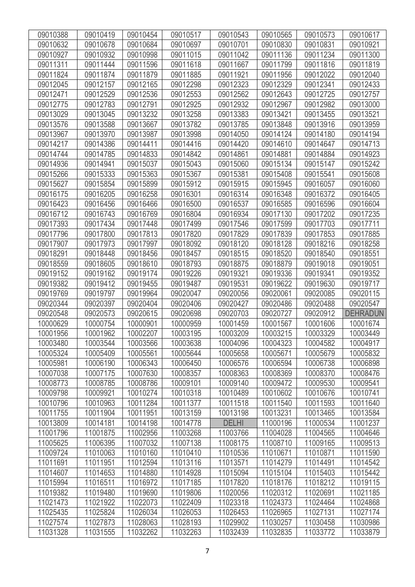| 09010388 | 09010419 | 09010454 | 09010517 | 09010543     | 09010565 | 09010573 | 09010617        |
|----------|----------|----------|----------|--------------|----------|----------|-----------------|
| 09010632 | 09010678 | 09010684 | 09010697 | 09010701     | 09010830 | 09010831 | 09010921        |
| 09010927 | 09010932 | 09010998 | 09011015 | 09011042     | 09011136 | 09011234 | 09011300        |
| 09011311 | 09011444 | 09011596 | 09011618 | 09011667     | 09011799 | 09011816 | 09011819        |
| 09011824 | 09011874 | 09011879 | 09011885 | 09011921     | 09011956 | 09012022 | 09012040        |
| 09012045 | 09012157 | 09012165 | 09012298 | 09012323     | 09012329 | 09012341 | 09012433        |
| 09012471 | 09012529 | 09012536 | 09012553 | 09012562     | 09012643 | 09012725 | 09012757        |
| 09012775 | 09012783 | 09012791 | 09012925 | 09012932     | 09012967 | 09012982 | 09013000        |
| 09013029 | 09013045 | 09013232 | 09013258 | 09013383     | 09013421 | 09013455 | 09013521        |
| 09013576 | 09013588 | 09013667 | 09013782 | 09013785     | 09013848 | 09013916 | 09013959        |
| 09013967 | 09013970 | 09013987 | 09013998 | 09014050     | 09014124 | 09014180 | 09014194        |
| 09014217 | 09014386 | 09014411 | 09014416 | 09014420     | 09014610 | 09014647 | 09014713        |
| 09014744 | 09014785 | 09014833 | 09014842 | 09014861     | 09014881 | 09014884 | 09014923        |
| 09014936 | 09014941 | 09015037 | 09015043 | 09015060     | 09015134 | 09015147 | 09015242        |
| 09015266 | 09015333 | 09015363 | 09015367 | 09015381     | 09015408 | 09015541 | 09015608        |
| 09015627 | 09015854 | 09015899 | 09015912 | 09015915     | 09015945 | 09016057 | 09016060        |
| 09016175 | 09016205 | 09016258 | 09016301 | 09016314     | 09016348 | 09016372 | 09016405        |
| 09016423 | 09016456 | 09016466 | 09016500 | 09016537     | 09016585 | 09016596 | 09016604        |
| 09016712 | 09016743 | 09016769 | 09016804 | 09016934     | 09017130 | 09017202 | 09017235        |
| 09017393 | 09017434 | 09017448 | 09017499 | 09017546     | 09017599 | 09017703 | 09017711        |
| 09017796 | 09017800 | 09017813 | 09017820 | 09017829     | 09017839 | 09017853 | 09017885        |
| 09017907 | 09017973 | 09017997 | 09018092 | 09018120     | 09018128 | 09018216 | 09018258        |
| 09018291 | 09018448 | 09018456 | 09018457 | 09018515     | 09018520 | 09018540 | 09018551        |
| 09018559 | 09018605 | 09018610 | 09018793 | 09018875     | 09018879 | 09019018 | 09019051        |
| 09019152 | 09019162 | 09019174 | 09019226 | 09019321     | 09019336 | 09019341 | 09019352        |
| 09019382 | 09019412 | 09019455 | 09019487 | 09019531     | 09019622 | 09019630 | 09019717        |
| 09019769 | 09019797 | 09019964 | 09020047 | 09020056     | 09020061 | 09020085 | 09020115        |
| 09020344 | 09020397 | 09020404 | 09020406 | 09020427     | 09020486 | 09020488 | 09020547        |
| 09020548 | 09020573 | 09020615 | 09020698 | 09020703     | 09020727 | 09020912 | <b>DEHRADUN</b> |
| 10000629 | 10000754 | 10000901 | 10000959 | 10001459     | 10001567 | 10001606 | 10001674        |
| 10001956 | 10001962 | 10002207 | 10003195 | 10003209     | 10003215 | 10003329 | 10003449        |
| 10003480 | 10003544 | 10003566 | 10003638 | 10004096     | 10004323 | 10004582 | 10004917        |
| 10005324 | 10005409 | 10005561 | 10005644 | 10005658     | 10005671 | 10005679 | 10005832        |
| 10005981 | 10006190 | 10006343 | 10006450 | 10006576     | 10006594 | 10006738 | 10006898        |
| 10007038 | 10007175 | 10007630 | 10008357 | 10008363     | 10008369 | 10008370 | 10008476        |
| 10008773 | 10008785 | 10008786 | 10009101 | 10009140     | 10009472 | 10009530 | 10009541        |
| 10009798 | 10009921 | 10010274 | 10010318 | 10010489     | 10010602 | 10010676 | 10010741        |
| 10010796 | 10010963 | 10011284 | 10011377 | 10011518     | 10011540 | 10011593 | 10011640        |
| 10011755 | 10011904 | 10011951 | 10013159 | 10013198     | 10013231 | 10013465 | 10013584        |
| 10013809 | 10014181 | 10014198 | 10014778 | <b>DELHI</b> | 11000196 | 11000534 | 11001237        |
| 11001796 | 11001875 | 11002956 | 11003268 | 11003766     | 11004028 | 11004565 | 11004646        |
| 11005625 | 11006395 | 11007032 | 11007138 | 11008175     | 11008710 | 11009165 | 11009513        |
| 11009724 | 11010063 | 11010160 | 11010410 | 11010536     | 11010671 | 11010871 | 11011590        |
| 11011691 | 11011951 | 11012594 | 11013116 | 11013571     | 11014279 | 11014491 | 11014542        |
| 11014607 | 11014653 | 11014880 | 11014928 | 11015094     | 11015104 | 11015403 | 11015442        |
| 11015994 | 11016511 | 11016972 | 11017185 | 11017820     | 11018176 | 11018212 | 11019115        |
| 11019382 | 11019480 | 11019690 | 11019806 | 11020056     | 11020312 | 11020691 | 11021185        |
| 11021473 | 11021922 | 11022073 | 11022409 | 11023318     | 11024373 | 11024464 | 11024868        |
| 11025435 | 11025824 | 11026034 | 11026053 | 11026453     | 11026965 | 11027131 | 11027174        |
| 11027574 | 11027873 | 11028063 | 11028193 | 11029902     | 11030257 | 11030458 | 11030986        |
| 11031328 | 11031555 | 11032262 | 11032263 | 11032439     | 11032835 | 11033772 | 11033879        |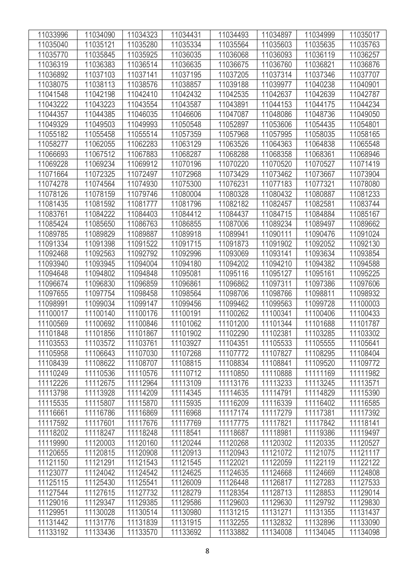| 11033996             | 11034090             | 11034323             | 11034431             | 11034493             | 11034897             | 11034999             | 11035017             |
|----------------------|----------------------|----------------------|----------------------|----------------------|----------------------|----------------------|----------------------|
| 11035040             | 11035121             | 11035280             | 11035334             | 11035564             | 11035603             | 11035635             | 11035763             |
| 11035770             | 11035845             | 11035925             | 11036035             | 11036068             | 11036093             | 11036119             | 11036257             |
| 11036319             | 11036383             | 11036514             | 11036635             | 11036675             | 11036760             | 11036821             | 11036876             |
| 11036892             | 11037103             | 11037141             | 11037195             | 11037205             | 11037314             | 11037346             | 11037707             |
| 11038075             | 11038113             | 11038576             | 11038857             | 11039188             | 11039977             | 11040238             | 11040901             |
| 11041548             | 11042198             | 11042410             | 11042432             | 11042535             | 11042637             | 11042639             | 11042787             |
| 11043222             | 11043223             | 11043554             | 11043587             | 11043891             | 11044153             | 11044175             | 11044234             |
| 11044357             | 11044385             | 11046035             | 11046606             | 11047087             | 11048086             | 11048736             | 11049050             |
| 11049329             | 11049503             | 11049993             | 11050548             | 11052897             | 11053606             | 11054435             | 11054801             |
| 11055182             | 11055458             | 11055514             | 11057359             | 11057968             | 11057995             | 11058035             | 11058165             |
| 11058277             | 11062055             | 11062283             | 11063129             | 11063526             | 11064363             | 11064838             | 11065548             |
| 11066693             | 11067512             | 11067883             | 11068287             | 11068288             | 11068358             | 11068361             | 11068946             |
| 11069228             | 11069234             | 11069912             | 11070196             | 11070220             | 11070520             | 11070527             | 11071419             |
| 11071664             | 11072325             | 11072497             | 11072968             | 11073429             | 11073462             | 11073667             | 11073904             |
| 11074278             | 11074564             | 11074930             | 11075300             | 11076231             | 11077183             | 11077321             | 11078080             |
| 11078126             | 11078159             | 11079746             | 11080004             | 11080328             | 11080432             | 11080887             | 11081233             |
| 11081435             | 11081592             | 11081777             | 11081796             | 11082182             | 11082457             | 11082581             | 11083744             |
| 11083761             | 11084222             | 11084403             | 11084412             | 11084437             | 11084715             | 11084884             | 11085167             |
| 11085424             | 11085650             | 11086763             | 11086855             | 11087006             | 11089234             | 11089497             | 11089662             |
| 11089785             | 11089829             | 11089887             | 11089918             | 11089941             | 11090111             | 11090476             | 11091024             |
| 11091334             | 11091398             | 11091522             | 11091715             | 11091873             | 11091902             | 11092052             | 11092130             |
| 11092468             | 11092563             | 11092792             | 11092996             | 11093069             | 11093141             | 11093634             | 11093854             |
| 11093940             | 11093945             | 11094004             | 11094180             | 11094202             | 11094210             | 11094382             | 11094588             |
| 11094648             | 11094802             | 11094848             | 11095081             | 11095116             | 11095127             | 11095161             | 11095225             |
| 11096674             | 11096830             | 11096859             | 11096861             | 11096862             | 11097311             | 11097386             | 11097606             |
| 11097655             | 11097754             | 11098458             | 11098564             | 11098706             | 11098766             | 11098811             | 11098932             |
| 11098991             | 11099034             | 11099147             | 11099456             | 11099462             | 11099563             | 11099728             | 11100003             |
| 11100017             | 11100140             | 11100176             | 11100191             | 11100262             | 11100341             | 11100406             | 11100433             |
| 11100569             | 11100692             | 11100846             | 11101062             | 11101200             | 11101344             | 11101688             | 11101787             |
| 11101848             | 11101856             | 11101867             | 11101902             | 11102290             | 11102381             | 11103285             | 11103302             |
| 11103553             | 11103572             | 11103761             | 11103927             | 11104351             | 11105533             | 11105555             | 11105641             |
| 11105958             | 11106643             | 11107030             | 11107268             | 11107772             | 11107827             | 11108295             | 11108404             |
| 11108439             | 11108622             | 11108707             | 11108815             | 11108834             | 11108841             | 11109520             | 11109772             |
| 11110249             | 11110536             | 11110576             | 11110712             | 11110850             | 11110888             | 11111169             | 11111982             |
| 11112226             | 11112675             | 11112964             | 11113109             | 11113176             | 11113233             | 11113245             | 11113571             |
| 11113798             | 11113928             | 11114209             | 11114345             | 11114635             | 11114791             | 11114829             | 11115390             |
| 11115535             | 11115807             | 11115870             | 11115935             | 11116209             | 11116339             | 11116402             | 11116585             |
| 11116661             | 11116786             | 11116869             | 11116968             | 11117174             | 11117279             | 11117381             | 11117392             |
| 11117592             | 11117601             | 11117676             | 11117769             | 11117775             | 11117821             | 11117842             | 11118141             |
| 11118202             | 11118247             | 11118248             | 11118541             | 11118687             | 11118981             | 11119386             | 11119497             |
| 11119990<br>11120655 | 11120003<br>11120815 | 11120160<br>11120908 | 11120244<br>11120913 | 11120268<br>11120943 | 11120302<br>11121072 | 11120335<br>11121075 | 11120527             |
|                      |                      |                      |                      |                      |                      |                      | 11121117             |
| 11121150<br>11123077 | 11121291<br>11124042 | 11121543<br>11124542 | 11121545<br>11124625 | 11122021<br>11124635 | 11122059<br>11124668 | 11122119<br>11124669 | 11122122<br>11124808 |
| 11125115             | 11125430             | 11125541             | 11126009             | 11126448             | 11126817             | 11127283             | 11127533             |
| 11127544             | 11127615             | 11127732             | 11128279             | 11128354             | 11128713             | 11128853             | 11129014             |
| 11129016             | 11129347             | 11129385             | 11129586             | 11129603             | 11129630             | 11129792             | 11129830             |
| 11129951             | 11130028             | 11130514             | 11130980             | 11131215             | 11131271             | 11131355             | 11131437             |
| 11131442             | 11131776             | 11131839             | 11131915             | 11132255             | 11132832             | 11132896             | 11133090             |
| 11133192             | 11133436             | 11133570             | 11133692             | 11133882             | 11134008             | 11134045             | 11134098             |
|                      |                      |                      |                      |                      |                      |                      |                      |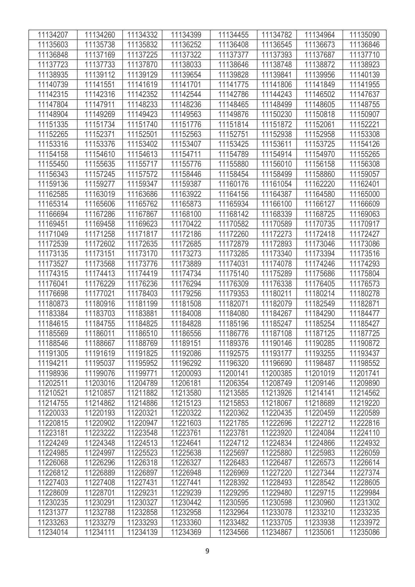| 11134207 | 11134260 | 11134332 | 11134399 | 11134455 | 11134782 | 11134964 | 11135090 |
|----------|----------|----------|----------|----------|----------|----------|----------|
| 11135603 | 11135738 | 11135832 | 11136252 | 11136408 | 11136545 | 11136673 | 11136846 |
| 11136848 | 11137169 | 11137225 | 11137322 | 11137377 | 11137393 | 11137687 | 11137710 |
| 11137723 | 11137733 | 11137870 | 11138033 | 11138646 | 11138748 | 11138872 | 11138923 |
| 11138935 | 11139112 | 11139129 | 11139654 | 11139828 | 11139841 | 11139956 | 11140139 |
| 11140739 | 11141551 | 11141619 | 11141701 | 11141775 | 11141806 | 11141849 | 11141955 |
| 11142315 | 11142316 | 11142352 | 11142544 | 11142786 | 11144243 | 11146502 | 11147637 |
| 11147804 | 11147911 | 11148233 | 11148236 | 11148465 | 11148499 | 11148605 | 11148755 |
| 11148904 | 11149269 | 11149423 | 11149563 | 11149876 | 11150230 | 11150818 | 11150907 |
| 11151335 | 11151734 | 11151740 | 11151776 | 11151814 | 11151872 | 11152061 | 11152221 |
| 11152265 | 11152371 | 11152501 | 11152563 | 11152751 | 11152938 | 11152958 | 11153308 |
| 11153316 | 11153376 | 11153402 | 11153407 | 11153425 | 11153611 | 11153725 | 11154126 |
| 11154158 | 11154610 | 11154613 | 11154711 | 11154789 | 11154914 | 11154970 | 11155265 |
| 11155450 | 11155635 | 11155717 | 11155776 | 11155880 | 11156010 | 11156158 | 11156308 |
| 11156343 | 11157245 | 11157572 | 11158446 | 11158454 | 11158499 | 11158860 | 11159057 |
| 11159136 | 11159277 | 11159347 | 11159387 | 11160176 | 11161054 | 11162220 | 11162401 |
| 11162585 | 11163019 | 11163686 | 11163922 | 11164156 | 11164387 | 11164580 | 11165000 |
| 11165314 | 11165606 | 11165762 | 11165873 | 11165934 | 11166100 | 11166127 | 11166609 |
| 11166694 | 11167286 | 11167867 | 11168100 | 11168142 | 11168339 | 11168725 | 11169063 |
| 11169451 | 11169458 | 11169623 | 11170422 | 11170582 | 11170589 | 11170735 | 11170917 |
| 11171049 | 11171258 | 11171817 | 11172186 | 11172260 | 11172273 | 11172418 | 11172427 |
| 11172539 | 11172602 | 11172635 | 11172685 | 11172879 | 11172893 | 11173046 | 11173086 |
| 11173135 | 11173151 | 11173170 | 11173273 | 11173285 | 11173340 | 11173394 | 11173516 |
| 11173527 | 11173568 | 11173776 | 11173889 | 11174031 | 11174078 | 11174246 | 11174293 |
| 11174315 | 11174413 | 11174419 | 11174734 | 11175140 | 11175289 | 11175686 | 11175804 |
| 11176041 | 11176229 | 11176236 | 11176294 | 11176309 | 11176338 | 11176405 | 11176573 |
| 11176698 | 11177021 | 11178403 | 11179256 | 11179353 | 11180211 | 11180214 | 11180278 |
| 11180873 | 11180916 | 11181199 | 11181508 | 11182071 | 11182079 | 11182549 | 11182871 |
| 11183384 | 11183703 | 11183881 | 11184008 | 11184080 | 11184267 | 11184290 | 11184477 |
| 11184615 | 11184755 | 11184825 | 11184828 | 11185196 | 11185247 | 11185254 | 11185427 |
| 11185569 | 11186011 | 11186510 | 11186556 | 11186776 | 11187108 | 11187125 | 11187725 |
| 11188546 | 11188667 | 11188769 | 11189151 | 11189376 | 11190146 | 11190285 | 11190872 |
| 11191305 | 11191619 | 11191825 | 11192086 | 11192575 | 11193177 | 11193255 | 11193437 |
| 11194211 | 11195037 | 11195952 | 11196292 | 11196320 | 11196690 | 11198487 | 11198552 |
| 11198936 | 11199076 | 11199771 | 11200093 | 11200141 | 11200385 | 11201019 | 11201741 |
| 11202511 | 11203016 | 11204789 | 11206181 | 11206354 | 11208749 | 11209146 | 11209890 |
| 11210521 | 11210857 | 11211882 | 11213580 | 11213585 | 11213926 | 11214141 | 11214562 |
| 11214755 | 11214862 | 11214886 | 11215123 | 11215853 | 11218067 | 11218689 | 11219220 |
| 11220033 | 11220193 | 11220321 | 11220322 | 11220362 | 11220435 | 11220459 | 11220589 |
| 11220815 | 11220902 | 11220947 | 11221603 | 11221785 | 11222696 | 11222712 | 11222816 |
| 11223181 | 11223222 | 11223548 | 11223761 | 11223781 | 11223920 | 11224084 | 11224110 |
| 11224249 | 11224348 | 11224513 | 11224641 | 11224712 | 11224834 | 11224866 | 11224932 |
| 11224985 | 11224997 | 11225523 | 11225638 | 11225697 | 11225880 | 11225983 | 11226059 |
| 11226068 | 11226296 | 11226318 | 11226327 | 11226483 | 11226487 | 11226573 | 11226614 |
| 11226812 | 11226889 | 11226897 | 11226948 | 11226969 | 11227220 | 11227344 | 11227374 |
| 11227403 | 11227408 | 11227431 | 11227441 | 11228392 | 11228493 | 11228542 | 11228605 |
| 11228609 | 11228701 | 11229231 | 11229239 | 11229295 | 11229480 | 11229715 | 11229984 |
| 11230235 | 11230291 | 11230327 | 11230442 | 11230595 | 11230598 | 11230960 | 11231302 |
| 11231377 | 11232788 | 11232858 | 11232958 | 11232964 | 11233078 | 11233210 | 11233235 |
| 11233263 | 11233279 | 11233293 | 11233360 | 11233482 | 11233705 | 11233938 | 11233972 |
| 11234014 | 11234111 | 11234139 | 11234369 | 11234566 | 11234867 | 11235061 | 11235086 |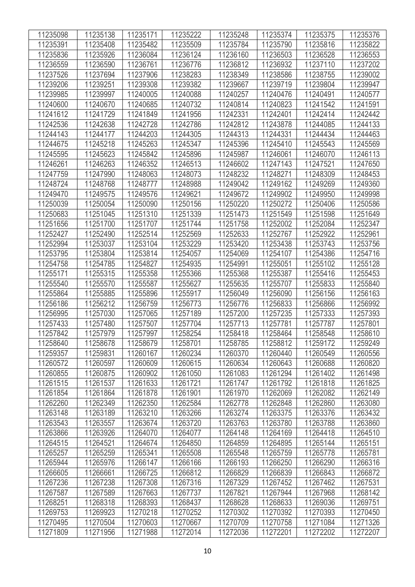| 11235098 | 11235138 | 11235171 | 11235222 | 11235248 | 11235374 | 11235375 | 11235376 |
|----------|----------|----------|----------|----------|----------|----------|----------|
| 11235391 | 11235408 | 11235482 | 11235509 | 11235784 | 11235790 | 11235816 | 11235822 |
| 11235836 | 11235926 | 11236084 | 11236124 | 11236160 | 11236503 | 11236528 | 11236553 |
| 11236559 | 11236590 | 11236761 | 11236776 | 11236812 | 11236932 | 11237110 | 11237202 |
| 11237526 | 11237694 | 11237906 | 11238283 | 11238349 | 11238586 | 11238755 | 11239002 |
| 11239206 | 11239251 | 11239308 | 11239382 | 11239667 | 11239719 | 11239804 | 11239947 |
| 11239985 | 11239997 | 11240005 | 11240088 | 11240257 | 11240476 | 11240491 | 11240577 |
| 11240600 | 11240670 | 11240685 | 11240732 | 11240814 | 11240823 | 11241542 | 11241591 |
| 11241612 | 11241729 | 11241849 | 11241956 | 11242331 | 11242401 | 11242414 | 11242442 |
| 11242536 | 11242638 | 11242728 | 11242786 | 11242812 | 11243878 | 11244085 | 11244133 |
| 11244143 | 11244177 | 11244203 | 11244305 | 11244313 | 11244331 | 11244434 | 11244463 |
| 11244675 | 11245218 | 11245263 | 11245347 | 11245396 | 11245410 | 11245543 | 11245569 |
| 11245595 | 11245623 | 11245842 | 11245896 | 11245987 | 11246061 | 11246070 | 11246113 |
| 11246261 | 11246263 | 11246352 | 11246513 | 11246602 | 11247143 | 11247521 | 11247650 |
| 11247759 | 11247990 | 11248063 | 11248073 | 11248232 | 11248271 | 11248309 | 11248453 |
| 11248724 | 11248768 | 11248777 | 11248988 | 11249042 | 11249162 | 11249269 | 11249360 |
| 11249470 | 11249575 | 11249576 | 11249621 | 11249672 | 11249902 | 11249950 | 11249998 |
| 11250039 | 11250054 | 11250090 | 11250156 | 11250220 | 11250272 | 11250406 | 11250586 |
| 11250683 | 11251045 | 11251310 | 11251339 | 11251473 | 11251549 | 11251598 | 11251649 |
| 11251656 | 11251700 | 11251707 | 11251744 | 11251758 | 11252002 | 11252084 | 11252347 |
| 11252427 | 11252490 | 11252514 | 11252569 | 11252633 | 11252767 | 11252922 | 11252961 |
| 11252994 | 11253037 | 11253104 | 11253229 | 11253420 | 11253438 | 11253743 | 11253756 |
| 11253795 | 11253804 | 11253814 | 11254057 | 11254069 | 11254107 | 11254386 | 11254716 |
| 11254758 | 11254785 | 11254827 | 11254935 | 11254991 | 11255051 | 11255102 | 11255128 |
| 11255171 | 11255315 | 11255358 | 11255366 | 11255368 | 11255387 | 11255416 | 11255453 |
| 11255540 | 11255570 | 11255587 | 11255627 | 11255635 | 11255707 | 11255833 | 11255840 |
| 11255864 | 11255885 | 11255896 | 11255917 | 11256049 | 11256090 | 11256156 | 11256163 |
| 11256186 | 11256212 | 11256759 | 11256773 | 11256776 | 11256833 | 11256866 | 11256992 |
| 11256995 | 11257030 | 11257065 | 11257189 | 11257200 | 11257235 | 11257333 | 11257393 |
| 11257433 | 11257480 | 11257507 | 11257704 | 11257713 | 11257781 | 11257787 | 11257801 |
| 11257842 | 11257979 | 11257997 | 11258254 | 11258418 | 11258464 | 11258548 | 11258610 |
| 11258640 | 11258678 | 11258679 | 11258701 | 11258785 | 11258812 | 11259172 | 11259249 |
| 11259357 | 11259831 | 11260167 | 11260234 | 11260370 | 11260440 | 11260549 | 11260556 |
| 11260572 | 11260597 | 11260609 | 11260615 | 11260634 | 11260643 | 11260688 | 11260820 |
| 11260855 | 11260875 | 11260902 | 11261050 | 11261083 | 11261294 | 11261402 | 11261498 |
| 11261515 | 11261537 | 11261633 | 11261721 | 11261747 | 11261792 | 11261818 | 11261825 |
| 11261854 | 11261864 | 11261878 | 11261901 | 11261970 | 11262069 | 11262082 | 11262149 |
| 11262260 | 11262349 | 11262350 | 11262584 | 11262778 | 11262848 | 11262860 | 11263080 |
| 11263148 | 11263189 | 11263210 | 11263266 | 11263274 | 11263375 | 11263376 | 11263432 |
| 11263543 | 11263557 | 11263674 | 11263720 | 11263763 | 11263780 | 11263788 | 11263860 |
| 11263866 | 11263926 | 11264070 | 11264077 | 11264148 | 11264169 | 11264418 | 11264510 |
| 11264515 | 11264521 | 11264674 | 11264850 | 11264859 | 11264895 | 11265144 | 11265151 |
| 11265257 | 11265259 | 11265341 | 11265508 | 11265548 | 11265759 | 11265778 | 11265781 |
| 11265944 | 11265976 | 11266147 | 11266166 | 11266193 | 11266250 | 11266290 | 11266316 |
| 11266605 | 11266661 | 11266725 | 11266812 | 11266829 | 11266839 | 11266843 | 11266872 |
| 11267236 | 11267238 | 11267308 | 11267316 | 11267329 | 11267452 | 11267462 | 11267531 |
| 11267587 | 11267589 | 11267663 | 11267737 | 11267821 | 11267944 | 11267968 | 11268142 |
| 11268251 | 11268318 | 11268393 | 11268437 | 11268628 | 11268633 | 11269036 | 11269751 |
| 11269753 | 11269923 | 11270218 | 11270252 | 11270302 | 11270392 | 11270393 | 11270450 |
| 11270495 | 11270504 | 11270603 | 11270667 | 11270709 | 11270758 | 11271084 | 11271326 |
| 11271809 | 11271956 | 11271988 | 11272014 | 11272036 | 11272201 | 11272202 | 11272207 |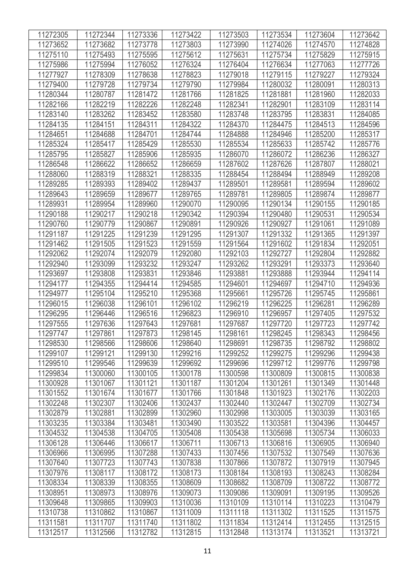| 11272305             | 11272344 | 11273336 | 11273422 | 11273503 | 11273534 | 11273604 | 11273642 |
|----------------------|----------|----------|----------|----------|----------|----------|----------|
|                      |          |          |          |          |          |          |          |
| 11273652<br>11275110 | 11273682 | 11273778 | 11273803 | 11273990 | 11274026 | 11274570 | 11274828 |
|                      | 11275493 | 11275595 | 11275612 | 11275631 | 11275734 | 11275829 | 11275915 |
| 11275986             | 11275994 | 11276052 | 11276324 | 11276404 | 11276634 | 11277063 | 11277726 |
| 11277927             | 11278309 | 11278638 | 11278823 | 11279018 | 11279115 | 11279227 | 11279324 |
| 11279400             | 11279728 | 11279734 | 11279790 | 11279984 | 11280032 | 11280091 | 11280313 |
| 11280344             | 11280787 | 11281472 | 11281766 | 11281825 | 11281881 | 11281960 | 11282033 |
| 11282166             | 11282219 | 11282226 | 11282248 | 11282341 | 11282901 | 11283109 | 11283114 |
| 11283140             | 11283262 | 11283452 | 11283580 | 11283748 | 11283795 | 11283831 | 11284085 |
| 11284135             | 11284151 | 11284311 | 11284322 | 11284370 | 11284475 | 11284513 | 11284596 |
| 11284651             | 11284688 | 11284701 | 11284744 | 11284888 | 11284946 | 11285200 | 11285317 |
| 11285324             | 11285417 | 11285429 | 11285530 | 11285534 | 11285633 | 11285742 | 11285776 |
| 11285795             | 11285827 | 11285906 | 11285935 | 11286070 | 11286072 | 11286236 | 11286327 |
| 11286548             | 11286622 | 11286652 | 11286659 | 11287602 | 11287626 | 11287807 | 11288021 |
| 11288060             | 11288319 | 11288321 | 11288335 | 11288454 | 11288494 | 11288949 | 11289208 |
| 11289285             | 11289393 | 11289402 | 11289437 | 11289501 | 11289581 | 11289594 | 11289602 |
| 11289643             | 11289659 | 11289677 | 11289765 | 11289781 | 11289805 | 11289874 | 11289877 |
| 11289931             | 11289954 | 11289960 | 11290070 | 11290095 | 11290134 | 11290155 | 11290185 |
| 11290188             | 11290217 | 11290218 | 11290342 | 11290394 | 11290480 | 11290531 | 11290534 |
| 11290760             | 11290779 | 11290867 | 11290891 | 11290926 | 11290927 | 11291061 | 11291089 |
| 11291187             | 11291225 | 11291239 | 11291295 | 11291307 | 11291332 | 11291365 | 11291397 |
| 11291462             | 11291505 | 11291523 | 11291559 | 11291564 | 11291602 | 11291834 | 11292051 |
| 11292062             | 11292074 | 11292079 | 11292080 | 11292103 | 11292727 | 11292804 | 11292882 |
| 11292940             | 11293099 | 11293232 | 11293247 | 11293262 | 11293291 | 11293373 | 11293640 |
| 11293697             | 11293808 | 11293831 | 11293846 | 11293881 | 11293888 | 11293944 | 11294114 |
| 11294177             | 11294355 | 11294414 | 11294585 | 11294601 | 11294697 | 11294710 | 11294936 |
| 11294977             | 11295104 | 11295210 | 11295368 | 11295661 | 11295726 | 11295745 | 11295861 |
| 11296015             | 11296038 | 11296101 | 11296102 | 11296219 | 11296225 | 11296281 | 11296289 |
| 11296295             | 11296446 | 11296516 | 11296823 | 11296910 | 11296957 | 11297405 | 11297532 |
| 11297555             | 11297636 | 11297643 | 11297681 | 11297687 | 11297720 | 11297723 | 11297742 |
| 11297747             | 11297861 | 11297873 | 11298145 | 11298161 | 11298245 | 11298343 | 11298456 |
| 11298530             | 11298566 | 11298606 | 11298640 | 11298691 | 11298735 | 11298792 | 11298802 |
| 11299107             | 11299121 | 11299130 | 11299216 | 11299252 | 11299275 | 11299296 | 11299438 |
| 11299510             | 11299546 | 11299639 | 11299692 | 11299696 | 11299712 | 11299776 | 11299798 |
| 11299834             | 11300060 | 11300105 | 11300178 | 11300598 | 11300809 | 11300815 | 11300838 |
| 11300928             | 11301067 | 11301121 | 11301187 | 11301204 | 11301261 | 11301349 | 11301448 |
| 11301552             | 11301674 | 11301677 | 11301766 | 11301848 | 11301923 | 11302176 | 11302203 |
| 11302248             | 11302307 | 11302406 | 11302437 | 11302440 | 11302447 | 11302709 | 11302734 |
| 11302879             | 11302881 | 11302899 | 11302960 | 11302998 | 11303005 | 11303039 | 11303165 |
| 11303235             | 11303384 | 11303481 | 11303490 | 11303522 | 11303581 | 11304396 | 11304457 |
| 11304532             | 11304538 | 11304705 | 11305408 | 11305438 | 11305698 | 11305734 | 11306033 |
| 11306128             | 11306446 | 11306617 | 11306711 | 11306713 | 11306816 | 11306905 | 11306940 |
| 11306966             | 11306995 | 11307288 | 11307433 | 11307456 | 11307532 | 11307549 | 11307636 |
| 11307640             | 11307723 | 11307743 | 11307838 | 11307866 | 11307872 | 11307919 | 11307945 |
| 11307976             | 11308117 | 11308172 | 11308173 | 11308184 | 11308193 | 11308243 | 11308284 |
| 11308334             | 11308339 | 11308355 | 11308609 | 11308682 | 11308709 | 11308722 | 11308772 |
| 11308951             | 11308973 | 11308976 | 11309073 | 11309086 | 11309091 | 11309195 | 11309526 |
| 11309648             | 11309865 | 11309903 | 11310036 | 11310109 | 11310114 | 11310223 | 11310479 |
| 11310738             | 11310862 | 11310867 | 11311009 | 11311118 | 11311302 | 11311525 | 11311575 |
| 11311581             | 11311707 | 11311740 | 11311802 | 11311834 | 11312414 | 11312455 | 11312515 |
| 11312517             | 11312566 | 11312782 | 11312815 | 11312848 | 11313174 | 11313521 | 11313721 |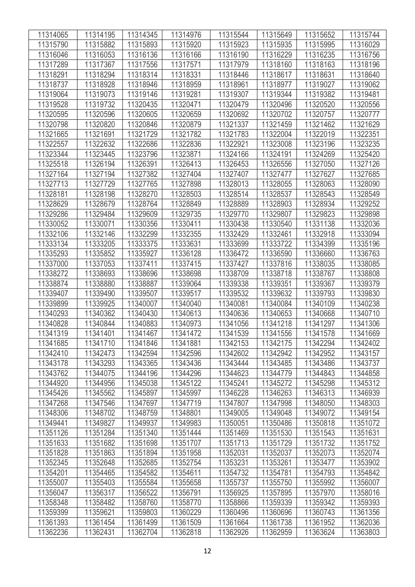| 11314065 | 11314195 | 11314345 | 11314976 | 11315544 | 11315649 | 11315652 | 11315744 |
|----------|----------|----------|----------|----------|----------|----------|----------|
| 11315790 | 11315882 | 11315893 | 11315920 | 11315923 | 11315935 | 11315995 | 11316029 |
| 11316046 | 11316053 | 11316136 | 11316166 | 11316190 | 11316229 | 11316235 | 11316756 |
| 11317289 | 11317367 | 11317556 | 11317571 | 11317979 | 11318160 | 11318163 | 11318196 |
| 11318291 | 11318294 | 11318314 | 11318331 | 11318446 | 11318617 | 11318631 | 11318640 |
| 11318737 | 11318928 | 11318946 | 11318959 | 11318961 | 11318977 | 11319027 | 11319062 |
| 11319064 | 11319073 | 11319146 | 11319281 | 11319307 | 11319344 | 11319382 | 11319481 |
| 11319528 | 11319732 | 11320435 | 11320471 | 11320479 | 11320496 | 11320520 | 11320556 |
| 11320595 | 11320596 | 11320605 | 11320659 | 11320692 | 11320702 | 11320757 | 11320777 |
| 11320798 | 11320820 | 11320846 | 11320879 | 11321337 | 11321459 | 11321462 | 11321629 |
| 11321665 | 11321691 | 11321729 | 11321782 | 11321783 | 11322004 | 11322019 | 11322351 |
| 11322557 | 11322632 | 11322686 | 11322836 | 11322921 | 11323008 | 11323196 | 11323235 |
| 11323344 | 11323445 | 11323796 | 11323871 | 11324166 | 11324191 | 11324269 | 11325420 |
| 11325518 | 11326194 | 11326391 | 11326413 | 11326453 | 11326556 | 11327050 | 11327126 |
| 11327164 | 11327194 | 11327382 | 11327404 | 11327407 | 11327477 | 11327627 | 11327685 |
| 11327713 | 11327729 | 11327765 | 11327898 | 11328013 | 11328055 | 11328063 | 11328090 |
| 11328181 | 11328198 | 11328270 | 11328503 | 11328514 | 11328537 | 11328543 | 11328549 |
| 11328629 | 11328679 | 11328764 | 11328849 | 11328889 | 11328903 | 11328934 | 11329252 |
| 11329286 | 11329484 | 11329609 | 11329735 | 11329770 | 11329807 | 11329823 | 11329898 |
| 11330052 | 11330071 | 11330356 | 11330411 | 11330438 | 11330540 | 11331138 | 11332036 |
| 11332106 | 11332146 | 11332299 | 11332355 | 11332429 | 11332461 | 11332918 | 11333094 |
| 11333134 | 11333205 | 11333375 | 11333631 | 11333699 | 11333722 | 11334399 | 11335196 |
| 11335293 | 11335852 | 11335927 | 11336128 | 11336472 | 11336590 | 11336660 | 11336763 |
| 11337000 | 11337053 | 11337411 | 11337415 | 11337427 | 11337816 | 11338035 | 11338085 |
| 11338272 | 11338693 | 11338696 | 11338698 | 11338709 | 11338718 | 11338767 | 11338808 |
| 11338874 | 11338880 | 11338887 | 11339064 | 11339338 | 11339351 | 11339367 | 11339379 |
| 11339407 | 11339490 | 11339507 | 11339517 | 11339532 | 11339632 | 11339793 | 11339830 |
| 11339899 | 11339925 | 11340007 | 11340040 | 11340081 | 11340084 | 11340109 | 11340238 |
| 11340293 | 11340362 | 11340430 | 11340613 | 11340636 | 11340653 | 11340668 | 11340710 |
| 11340828 | 11340844 | 11340883 | 11340973 | 11341056 | 11341218 | 11341297 | 11341306 |
| 11341319 | 11341401 | 11341467 | 11341472 | 11341539 | 11341556 | 11341578 | 11341669 |
| 11341685 | 11341710 | 11341846 | 11341881 | 11342153 | 11342175 | 11342294 | 11342402 |
| 11342410 | 11342473 | 11342594 | 11342596 | 11342602 | 11342942 | 11342952 | 11343157 |
| 11343178 | 11343293 | 11343365 | 11343436 | 11343444 | 11343485 | 11343486 | 11343737 |
| 11343762 | 11344075 | 11344196 | 11344296 | 11344623 | 11344779 | 11344843 | 11344858 |
| 11344920 | 11344956 | 11345038 | 11345122 | 11345241 | 11345272 | 11345298 | 11345312 |
| 11345426 | 11345562 | 11345897 | 11345997 | 11346228 | 11346263 | 11346313 | 11346939 |
| 11347268 | 11347546 | 11347697 | 11347719 | 11347807 | 11347998 | 11348050 | 11348303 |
| 11348306 | 11348702 | 11348759 | 11348801 | 11349005 | 11349048 | 11349072 | 11349154 |
| 11349441 | 11349827 | 11349937 | 11349983 | 11350051 | 11350486 | 11350818 | 11351072 |
| 11351126 | 11351284 | 11351340 | 11351444 | 11351469 | 11351530 | 11351543 | 11351631 |
| 11351633 | 11351682 | 11351698 | 11351707 | 11351713 | 11351729 | 11351732 | 11351752 |
| 11351828 | 11351863 | 11351894 | 11351958 | 11352031 | 11352037 | 11352073 | 11352074 |
| 11352345 | 11352648 | 11352685 | 11352754 | 11353231 | 11353261 | 11353477 | 11353902 |
| 11354201 | 11354465 | 11354582 | 11354611 | 11354732 | 11354781 | 11354793 | 11354842 |
| 11355007 | 11355403 | 11355584 | 11355658 | 11355737 | 11355750 | 11355992 | 11356007 |
| 11356047 | 11356317 | 11356522 | 11356791 | 11356925 | 11357895 | 11357970 | 11358016 |
| 11358348 | 11358482 | 11358760 | 11358770 | 11358866 | 11359339 | 11359342 | 11359393 |
| 11359399 | 11359621 | 11359803 | 11360229 | 11360496 | 11360696 | 11360743 | 11361356 |
| 11361393 | 11361454 | 11361499 | 11361509 | 11361664 | 11361738 | 11361952 | 11362036 |
| 11362236 | 11362431 | 11362704 | 11362818 | 11362926 | 11362959 | 11363624 | 11363803 |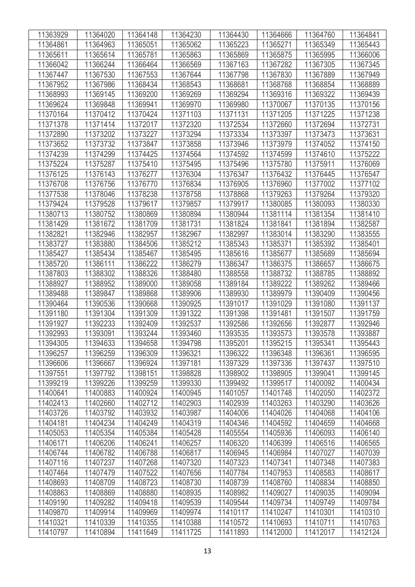| 11363929 | 11364020 | 11364148 | 11364230 | 11364430 | 11364666 | 11364760 | 11364841 |
|----------|----------|----------|----------|----------|----------|----------|----------|
| 11364861 | 11364963 | 11365051 | 11365062 | 11365223 | 11365271 | 11365349 | 11365443 |
| 11365611 | 11365614 | 11365781 | 11365863 | 11365869 | 11365875 | 11365995 | 11366006 |
| 11366042 | 11366244 | 11366464 | 11366569 | 11367163 | 11367282 | 11367305 | 11367345 |
| 11367447 | 11367530 | 11367553 | 11367644 | 11367798 | 11367830 | 11367889 | 11367949 |
| 11367952 | 11367986 | 11368434 | 11368543 | 11368681 | 11368768 | 11368854 | 11368889 |
| 11368993 | 11369145 | 11369200 | 11369269 | 11369294 | 11369316 | 11369322 | 11369439 |
| 11369624 | 11369848 | 11369941 | 11369970 | 11369980 | 11370067 | 11370135 | 11370156 |
| 11370164 | 11370412 | 11370424 | 11371103 | 11371131 | 11371205 | 11371225 | 11371238 |
| 11371378 | 11371414 | 11372017 | 11372320 | 11372534 | 11372660 | 11372694 | 11372731 |
| 11372890 | 11373202 | 11373227 | 11373294 | 11373334 | 11373397 | 11373473 | 11373631 |
| 11373652 | 11373732 | 11373847 | 11373858 | 11373946 | 11373979 | 11374052 | 11374150 |
| 11374239 | 11374299 | 11374425 | 11374564 | 11374592 | 11374599 | 11374610 | 11375222 |
| 11375224 | 11375287 | 11375410 | 11375495 | 11375496 | 11375780 | 11375911 | 11376069 |
| 11376125 | 11376143 | 11376277 | 11376304 | 11376347 | 11376432 | 11376445 | 11376547 |
| 11376708 | 11376756 | 11376770 | 11376834 | 11376905 | 11376960 | 11377002 | 11377102 |
| 11377538 | 11378046 | 11378238 | 11378758 | 11378868 | 11379263 | 11379264 | 11379320 |
| 11379424 | 11379528 | 11379617 | 11379857 | 11379917 | 11380085 | 11380093 | 11380330 |
| 11380713 | 11380752 | 11380869 | 11380894 | 11380944 | 11381114 | 11381354 | 11381410 |
| 11381429 | 11381672 | 11381709 | 11381731 | 11381824 | 11381841 | 11381894 | 11382587 |
| 11382821 | 11382946 | 11382957 | 11382967 | 11382997 | 11383014 | 11383290 | 11383555 |
| 11383727 | 11383880 | 11384506 | 11385212 | 11385343 | 11385371 | 11385392 | 11385401 |
| 11385427 | 11385434 | 11385467 | 11385495 | 11385616 | 11385677 | 11385689 | 11385694 |
| 11385720 | 11386111 | 11386222 | 11386279 | 11386347 | 11386375 | 11386657 | 11386675 |
| 11387803 | 11388302 | 11388326 | 11388480 | 11388558 | 11388732 | 11388785 | 11388892 |
| 11388927 | 11388952 | 11389000 | 11389058 | 11389184 | 11389222 | 11389262 | 11389466 |
| 11389488 | 11389847 | 11389868 | 11389906 | 11389930 | 11389979 | 11390409 | 11390456 |
| 11390464 | 11390536 | 11390668 | 11390925 | 11391017 | 11391029 | 11391080 | 11391137 |
| 11391180 | 11391304 | 11391309 | 11391322 | 11391398 | 11391481 | 11391507 | 11391759 |
| 11391927 | 11392233 | 11392409 | 11392537 | 11392586 | 11392656 | 11392877 | 11392946 |
| 11392993 | 11393091 | 11393244 | 11393460 | 11393535 | 11393573 | 11393578 | 11393887 |
| 11394305 | 11394633 | 11394658 | 11394798 | 11395201 | 11395215 | 11395341 | 11395443 |
| 11396257 | 11396259 | 11396309 | 11396321 | 11396322 | 11396348 | 11396361 | 11396595 |
| 11396606 | 11396667 | 11396924 | 11397181 | 11397329 | 11397336 | 11397437 | 11397510 |
| 11397551 | 11397792 | 11398151 | 11398828 | 11398902 | 11398905 | 11399041 | 11399145 |
| 11399219 | 11399226 | 11399259 | 11399330 | 11399492 | 11399517 | 11400092 | 11400434 |
| 11400641 | 11400883 | 11400924 | 11400945 | 11401057 | 11401748 | 11402050 | 11402372 |
| 11402413 | 11402660 | 11402712 | 11402903 | 11402939 | 11403263 | 11403290 | 11403626 |
| 11403726 | 11403792 | 11403932 | 11403987 | 11404006 | 11404026 | 11404068 | 11404106 |
| 11404181 | 11404234 | 11404249 | 11404319 | 11404346 | 11404592 | 11404659 | 11404668 |
| 11405053 | 11405354 | 11405384 | 11405428 | 11405554 | 11405936 | 11406093 | 11406140 |
| 11406171 | 11406206 | 11406241 | 11406257 | 11406320 | 11406399 | 11406516 | 11406565 |
| 11406744 | 11406782 | 11406788 | 11406817 | 11406945 | 11406984 | 11407027 | 11407039 |
| 11407116 | 11407237 | 11407268 | 11407320 | 11407323 | 11407341 | 11407348 | 11407383 |
| 11407464 | 11407479 | 11407522 | 11407656 | 11407784 | 11407953 | 11408583 | 11408617 |
| 11408693 | 11408709 | 11408723 | 11408730 | 11408739 | 11408760 | 11408834 | 11408850 |
| 11408863 | 11408869 | 11408880 | 11408935 | 11408982 | 11409027 | 11409035 | 11409094 |
| 11409190 | 11409282 | 11409418 | 11409539 | 11409544 | 11409734 | 11409749 | 11409784 |
| 11409870 | 11409914 | 11409969 | 11409974 | 11410117 | 11410247 | 11410301 | 11410310 |
| 11410321 | 11410339 | 11410355 | 11410388 | 11410572 | 11410693 | 11410711 | 11410763 |
| 11410797 | 11410894 | 11411649 | 11411725 | 11411893 | 11412000 | 11412017 | 11412124 |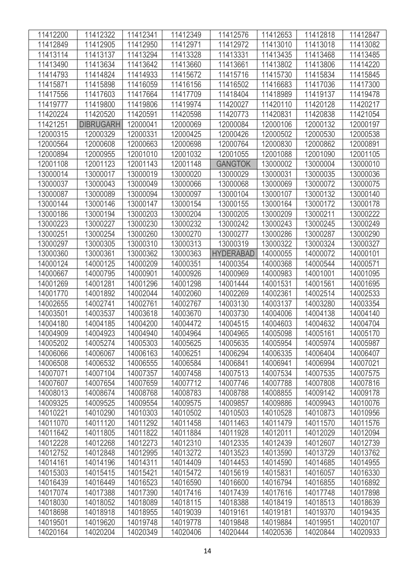| 11412200 | 11412322         | 11412341 | 11412349 | 11412576         | 11412653 | 11412818 | 11412847 |
|----------|------------------|----------|----------|------------------|----------|----------|----------|
| 11412849 | 11412905         | 11412950 | 11412971 | 11412972         | 11413010 | 11413018 | 11413082 |
| 11413114 | 11413137         | 11413294 | 11413328 | 11413331         | 11413435 | 11413468 | 11413485 |
| 11413490 | 11413634         | 11413642 | 11413660 | 11413661         | 11413802 | 11413806 | 11414220 |
| 11414793 | 11414824         | 11414933 | 11415672 | 11415716         | 11415730 | 11415834 | 11415845 |
| 11415871 | 11415898         | 11416059 | 11416156 | 11416502         | 11416683 | 11417036 | 11417300 |
| 11417556 | 11417603         | 11417664 | 11417709 | 11418404         | 11418989 | 11419137 | 11419478 |
| 11419777 | 11419800         | 11419806 | 11419974 | 11420027         | 11420110 | 11420128 | 11420217 |
| 11420224 | 11420520         | 11420591 | 11420598 | 11420773         | 11420831 | 11420838 | 11421054 |
| 11421251 | <b>DIBRUGARH</b> | 12000041 | 12000069 | 12000084         | 12000106 | 12000132 | 12000197 |
| 12000315 | 12000329         | 12000331 | 12000425 | 12000426         | 12000502 | 12000530 | 12000538 |
| 12000564 | 12000608         | 12000663 | 12000698 | 12000764         | 12000830 | 12000862 | 12000891 |
| 12000894 | 12000955         | 12001010 | 12001032 | 12001055         | 12001088 | 12001090 | 12001105 |
| 12001108 | 12001123         | 12001143 | 12001148 | <b>GANGTOK</b>   | 13000002 | 13000004 | 13000010 |
| 13000014 | 13000017         | 13000019 | 13000020 | 13000029         | 13000031 | 13000035 | 13000036 |
| 13000037 | 13000043         | 13000049 | 13000066 | 13000068         | 13000069 | 13000072 | 13000075 |
| 13000087 | 13000089         | 13000094 | 13000097 | 13000104         | 13000107 | 13000132 | 13000140 |
| 13000144 | 13000146         | 13000147 | 13000154 | 13000155         | 13000164 | 13000172 | 13000178 |
| 13000186 | 13000194         | 13000203 | 13000204 | 13000205         | 13000209 | 13000211 | 13000222 |
| 13000223 | 13000227         | 13000230 | 13000232 | 13000242         | 13000243 | 13000245 | 13000249 |
| 13000251 | 13000254         | 13000260 | 13000270 | 13000277         | 13000286 | 13000287 | 13000290 |
| 13000297 | 13000305         | 13000310 | 13000313 | 13000319         | 13000322 | 13000324 | 13000327 |
| 13000360 | 13000361         | 13000362 | 13000363 | <b>HYDERABAD</b> | 14000055 | 14000072 | 14000101 |
| 14000124 | 14000125         | 14000209 | 14000351 | 14000354         | 14000368 | 14000544 | 14000571 |
| 14000667 | 14000795         | 14000901 | 14000926 | 14000969         | 14000983 | 14001001 | 14001095 |
| 14001269 | 14001281         | 14001296 | 14001298 | 14001444         | 14001531 | 14001561 | 14001695 |
| 14001770 | 14001892         | 14002044 | 14002060 | 14002269         | 14002361 | 14002514 | 14002533 |
| 14002655 | 14002741         | 14002761 | 14002767 | 14003130         | 14003137 | 14003280 | 14003354 |
| 14003501 | 14003537         | 14003618 | 14003670 | 14003730         | 14004006 | 14004138 | 14004140 |
| 14004180 | 14004185         | 14004200 | 14004472 | 14004515         | 14004603 | 14004632 | 14004704 |
| 14004909 | 14004923         | 14004940 | 14004964 | 14004965         | 14005098 | 14005161 | 14005170 |
| 14005202 | 14005274         | 14005303 | 14005625 | 14005635         | 14005954 | 14005974 | 14005987 |
| 14006066 | 14006067         | 14006163 | 14006251 | 14006294         | 14006335 | 14006404 | 14006407 |
| 14006508 | 14006532         | 14006555 | 14006584 | 14006841         | 14006941 | 14006994 | 14007021 |
| 14007071 | 14007104         | 14007357 | 14007458 | 14007513         | 14007534 | 14007535 | 14007575 |
| 14007607 | 14007654         | 14007659 | 14007712 | 14007746         | 14007788 | 14007808 | 14007816 |
| 14008013 | 14008674         | 14008768 | 14008783 | 14008788         | 14008855 | 14009142 | 14009178 |
| 14009325 | 14009525         | 14009554 | 14009575 | 14009857         | 14009886 | 14009943 | 14010076 |
| 14010221 | 14010290         | 14010303 | 14010502 | 14010503         | 14010528 | 14010873 | 14010956 |
| 14011070 | 14011120         | 14011292 | 14011458 | 14011463         | 14011479 | 14011570 | 14011576 |
| 14011642 | 14011805         | 14011822 | 14011884 | 14011928         | 14012011 | 14012029 | 14012094 |
| 14012228 | 14012268         | 14012273 | 14012310 | 14012335         | 14012439 | 14012607 | 14012739 |
| 14012752 | 14012848         | 14012995 | 14013272 | 14013523         | 14013590 | 14013729 | 14013762 |
| 14014161 | 14014196         | 14014311 | 14014409 | 14014453         | 14014590 | 14014685 | 14014955 |
| 14015303 | 14015415         | 14015421 | 14015472 | 14015619         | 14015831 | 14016057 | 14016330 |
| 14016439 | 14016449         | 14016523 | 14016590 | 14016600         | 14016794 | 14016855 | 14016892 |
| 14017074 | 14017388         | 14017390 | 14017416 | 14017439         | 14017616 | 14017748 | 14017898 |
| 14018030 | 14018052         | 14018089 | 14018115 | 14018388         | 14018419 | 14018513 | 14018639 |
| 14018698 | 14018918         | 14018955 | 14019039 | 14019161         | 14019181 | 14019370 | 14019435 |
| 14019501 | 14019620         | 14019748 | 14019778 | 14019848         | 14019884 | 14019951 | 14020107 |
| 14020164 | 14020204         | 14020349 | 14020406 | 14020444         | 14020536 | 14020844 | 14020933 |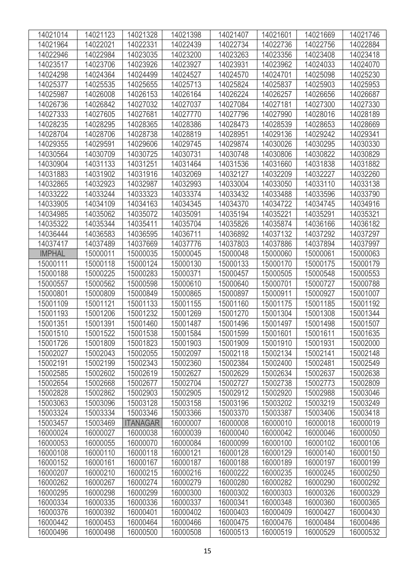| 14021014      | 14021123 | 14021328        | 14021398 | 14021407 | 14021601 | 14021669 | 14021746 |
|---------------|----------|-----------------|----------|----------|----------|----------|----------|
| 14021964      | 14022021 | 14022331        | 14022439 | 14022734 | 14022736 | 14022756 | 14022884 |
| 14022946      | 14022984 | 14023035        | 14023200 | 14023263 | 14023356 | 14023408 | 14023418 |
| 14023517      | 14023706 | 14023926        | 14023927 | 14023931 | 14023962 | 14024033 | 14024070 |
| 14024298      | 14024364 | 14024499        | 14024527 | 14024570 | 14024701 | 14025098 | 14025230 |
| 14025377      | 14025535 | 14025655        | 14025713 | 14025824 | 14025837 | 14025903 | 14025953 |
| 14025987      | 14026008 | 14026153        | 14026164 | 14026224 | 14026257 | 14026656 | 14026687 |
| 14026736      | 14026842 | 14027032        | 14027037 | 14027084 | 14027181 | 14027300 | 14027330 |
| 14027333      | 14027605 | 14027681        | 14027770 | 14027796 | 14027990 | 14028016 | 14028189 |
| 14028235      | 14028295 | 14028365        | 14028386 | 14028473 | 14028539 | 14028653 | 14028669 |
| 14028704      | 14028706 | 14028738        | 14028819 | 14028951 | 14029136 | 14029242 | 14029341 |
| 14029355      | 14029591 | 14029606        | 14029745 | 14029874 | 14030026 | 14030295 | 14030330 |
| 14030564      | 14030709 | 14030725        | 14030731 | 14030748 | 14030806 | 14030822 | 14030829 |
| 14030904      | 14031133 | 14031251        | 14031464 | 14031536 | 14031660 | 14031838 | 14031882 |
| 14031883      | 14031902 | 14031916        | 14032069 | 14032127 | 14032209 | 14032227 | 14032260 |
| 14032865      | 14032923 | 14032987        | 14032993 | 14033004 | 14033050 | 14033110 | 14033138 |
| 14033222      | 14033244 | 14033323        | 14033374 | 14033432 | 14033488 | 14033596 | 14033790 |
| 14033905      | 14034109 | 14034163        | 14034345 | 14034370 | 14034722 | 14034745 | 14034916 |
| 14034985      | 14035062 | 14035072        | 14035091 | 14035194 | 14035221 | 14035291 | 14035321 |
| 14035322      | 14035344 | 14035411        | 14035704 | 14035826 | 14035874 | 14036166 | 14036182 |
| 14036444      | 14036583 | 14036595        | 14036711 | 14036892 | 14037132 | 14037292 | 14037297 |
| 14037417      | 14037489 | 14037669        | 14037776 | 14037803 | 14037886 | 14037894 | 14037997 |
| <b>IMPHAL</b> | 15000011 | 15000035        | 15000045 | 15000048 | 15000060 | 15000061 | 15000063 |
| 15000111      | 15000118 | 15000124        | 15000130 | 15000133 | 15000170 | 15000175 | 15000179 |
| 15000188      | 15000225 | 15000283        | 15000371 | 15000457 | 15000505 | 15000548 | 15000553 |
| 15000557      | 15000562 | 15000598        | 15000610 | 15000640 | 15000701 | 15000727 | 15000788 |
| 15000801      | 15000809 | 15000849        | 15000865 | 15000897 | 15000911 | 15000927 | 15001007 |
| 15001109      | 15001121 | 15001133        | 15001155 | 15001160 | 15001175 | 15001185 | 15001192 |
| 15001193      | 15001206 | 15001232        | 15001269 | 15001270 | 15001304 | 15001308 | 15001344 |
| 15001351      | 15001391 | 15001460        | 15001487 | 15001496 | 15001497 | 15001498 | 15001507 |
| 15001510      | 15001522 | 15001538        | 15001584 | 15001599 | 15001601 | 15001611 | 15001635 |
| 15001726      | 15001809 | 15001823        | 15001903 | 15001909 | 15001910 | 15001931 | 15002000 |
| 15002027      | 15002043 | 15002055        | 15002097 | 15002118 | 15002134 | 15002141 | 15002148 |
| 15002191      | 15002199 | 15002343        | 15002360 | 15002384 | 15002400 | 15002481 | 15002549 |
| 15002585      | 15002602 | 15002619        | 15002627 | 15002629 | 15002634 | 15002637 | 15002638 |
| 15002654      | 15002668 | 15002677        | 15002704 | 15002727 | 15002738 | 15002773 | 15002809 |
| 15002828      | 15002862 | 15002903        | 15002905 | 15002912 | 15002920 | 15002988 | 15003046 |
| 15003063      | 15003096 | 15003128        | 15003158 | 15003196 | 15003202 | 15003219 | 15003249 |
| 15003324      | 15003334 | 15003346        | 15003366 | 15003370 | 15003387 | 15003406 | 15003418 |
| 15003457      | 15003469 | <b>ITANAGAR</b> | 16000007 | 16000008 | 16000010 | 16000018 | 16000019 |
| 16000024      | 16000027 | 16000038        | 16000039 | 16000040 | 16000042 | 16000046 | 16000050 |
| 16000053      | 16000055 | 16000070        | 16000084 | 16000099 | 16000100 | 16000102 | 16000106 |
| 16000108      | 16000110 | 16000118        | 16000121 | 16000128 | 16000129 | 16000140 | 16000150 |
| 16000152      | 16000161 | 16000167        | 16000187 | 16000188 | 16000189 | 16000197 | 16000199 |
| 16000207      | 16000210 | 16000215        | 16000216 | 16000222 | 16000235 | 16000245 | 16000250 |
| 16000262      | 16000267 | 16000274        | 16000279 | 16000280 | 16000282 | 16000290 | 16000292 |
| 16000295      | 16000298 | 16000299        | 16000300 | 16000302 | 16000303 | 16000326 | 16000329 |
| 16000334      | 16000335 | 16000336        | 16000337 | 16000341 | 16000348 | 16000360 | 16000365 |
| 16000376      | 16000392 | 16000401        | 16000402 | 16000403 | 16000409 | 16000427 | 16000430 |
| 16000442      | 16000453 | 16000464        | 16000466 | 16000475 | 16000476 | 16000484 | 16000486 |
| 16000496      | 16000498 | 16000500        | 16000508 | 16000513 | 16000519 | 16000529 | 16000532 |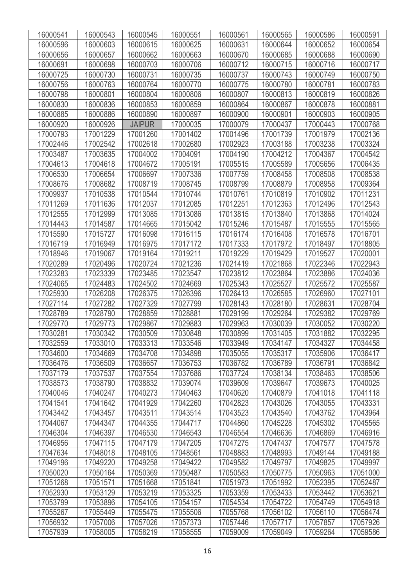| 16000541 | 16000543 | 16000545      | 16000551 | 16000561 | 16000565 | 16000586 | 16000591 |
|----------|----------|---------------|----------|----------|----------|----------|----------|
| 16000596 | 16000603 | 16000615      | 16000625 | 16000631 | 16000644 | 16000652 | 16000654 |
| 16000656 | 16000657 | 16000662      | 16000663 | 16000670 | 16000685 | 16000688 | 16000690 |
| 16000691 | 16000698 | 16000703      | 16000706 | 16000712 | 16000715 | 16000716 | 16000717 |
| 16000725 | 16000730 | 16000731      | 16000735 | 16000737 | 16000743 | 16000749 | 16000750 |
| 16000756 | 16000763 | 16000764      | 16000770 | 16000775 | 16000780 | 16000781 | 16000783 |
| 16000798 | 16000801 | 16000804      | 16000806 | 16000807 | 16000813 | 16000819 | 16000826 |
| 16000830 | 16000836 | 16000853      | 16000859 | 16000864 | 16000867 | 16000878 | 16000881 |
| 16000885 | 16000886 | 16000890      | 16000897 | 16000900 | 16000901 | 16000903 | 16000905 |
| 16000920 | 16000926 | <b>JAIPUR</b> | 17000035 | 17000079 | 17000437 | 17000443 | 17000768 |
| 17000793 | 17001229 | 17001260      | 17001402 | 17001496 | 17001739 | 17001979 | 17002136 |
| 17002446 | 17002542 | 17002618      | 17002680 | 17002923 | 17003188 | 17003238 | 17003324 |
| 17003487 | 17003635 | 17004002      | 17004091 | 17004190 | 17004212 | 17004367 | 17004542 |
| 17004613 | 17004618 | 17004672      | 17005191 | 17005515 | 17005589 | 17005656 | 17006435 |
| 17006530 | 17006654 | 17006697      | 17007336 | 17007759 | 17008458 | 17008508 | 17008538 |
| 17008676 | 17008682 | 17008719      | 17008745 | 17008799 | 17008879 | 17008958 | 17009364 |
| 17009937 | 17010538 | 17010544      | 17010744 | 17010761 | 17010819 | 17010902 | 17011231 |
| 17011269 | 17011636 | 17012037      | 17012085 | 17012251 | 17012363 | 17012496 | 17012543 |
| 17012555 | 17012999 | 17013085      | 17013086 | 17013815 | 17013840 | 17013868 | 17014024 |
| 17014443 | 17014587 | 17014665      | 17015042 | 17015246 | 17015487 | 17015555 | 17015565 |
| 17015590 | 17015727 | 17016098      | 17016115 | 17016174 | 17016408 | 17016578 | 17016701 |
| 17016719 | 17016949 | 17016975      | 17017172 | 17017333 | 17017972 | 17018497 | 17018805 |
| 17018946 | 17019067 | 17019164      | 17019211 | 17019229 | 17019429 | 17019527 | 17020001 |
| 17020289 | 17020496 | 17020724      | 17021236 | 17021419 | 17021868 | 17022346 | 17022943 |
| 17023283 | 17023339 | 17023485      | 17023547 | 17023812 | 17023864 | 17023886 | 17024036 |
| 17024065 | 17024483 | 17024502      | 17024669 | 17025343 | 17025527 | 17025572 | 17025587 |
| 17025930 | 17026208 | 17026375      | 17026396 | 17026413 | 17026585 | 17026960 | 17027101 |
| 17027114 | 17027282 | 17027329      | 17027799 | 17028143 | 17028180 | 17028631 | 17028704 |
| 17028789 | 17028790 | 17028859      | 17028881 | 17029199 | 17029264 | 17029382 | 17029769 |
| 17029770 | 17029773 | 17029867      | 17029883 | 17029963 | 17030039 | 17030052 | 17030220 |
| 17030281 | 17030342 | 17030509      | 17030848 | 17030899 | 17031405 | 17031882 | 17032295 |
| 17032559 | 17033010 | 17033313      | 17033546 | 17033949 | 17034147 | 17034327 | 17034458 |
| 17034600 | 17034669 | 17034708      | 17034898 | 17035055 | 17035317 | 17035906 | 17036417 |
| 17036476 | 17036509 | 17036657      | 17036753 | 17036782 | 17036789 | 17036791 | 17036842 |
| 17037179 | 17037537 | 17037554      | 17037686 | 17037724 | 17038134 | 17038463 | 17038506 |
| 17038573 | 17038790 | 17038832      | 17039074 | 17039609 | 17039647 | 17039673 | 17040025 |
| 17040046 | 17040247 | 17040273      | 17040463 | 17040620 | 17040879 | 17041018 | 17041118 |
| 17041541 | 17041642 | 17041929      | 17042260 | 17042823 | 17043026 | 17043055 | 17043331 |
| 17043442 | 17043457 | 17043511      | 17043514 | 17043523 | 17043540 | 17043762 | 17043964 |
| 17044067 | 17044347 | 17044355      | 17044717 | 17044860 | 17045228 | 17045302 | 17045565 |
| 17046304 | 17046397 | 17046530      | 17046543 | 17046554 | 17046636 | 17046869 | 17046916 |
| 17046956 | 17047115 | 17047179      | 17047205 | 17047275 | 17047437 | 17047577 | 17047578 |
| 17047634 | 17048018 | 17048105      | 17048561 | 17048883 | 17048993 | 17049144 | 17049188 |
| 17049196 | 17049220 | 17049258      | 17049422 | 17049582 | 17049797 | 17049825 | 17049997 |
| 17050020 | 17050164 | 17050369      | 17050487 | 17050583 | 17050775 | 17050963 | 17051000 |
| 17051268 | 17051571 | 17051668      | 17051841 | 17051973 | 17051992 | 17052395 | 17052487 |
| 17052930 | 17053129 | 17053219      | 17053325 | 17053359 | 17053433 | 17053442 | 17053621 |
| 17053799 | 17053896 | 17054105      | 17054157 | 17054534 | 17054722 | 17054749 | 17054918 |
| 17055267 | 17055449 | 17055475      | 17055506 | 17055768 | 17056102 | 17056110 | 17056474 |
| 17056932 | 17057006 | 17057026      | 17057373 | 17057446 | 17057717 | 17057857 | 17057926 |
| 17057939 | 17058005 | 17058219      | 17058555 | 17059009 | 17059049 | 17059264 | 17059586 |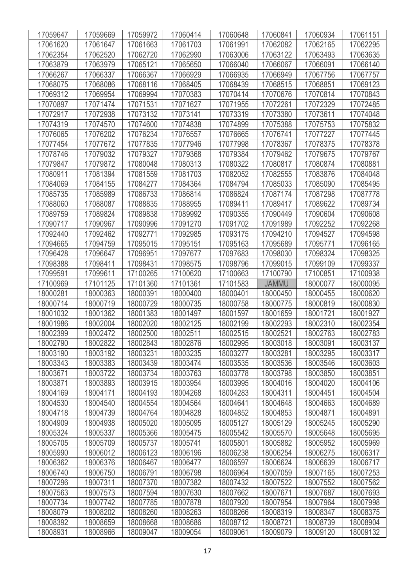| 17059647 | 17059669 | 17059972 | 17060414 | 17060648 | 17060841     | 17060934 | 17061151 |
|----------|----------|----------|----------|----------|--------------|----------|----------|
| 17061620 | 17061647 | 17061663 | 17061703 | 17061991 | 17062082     | 17062165 | 17062295 |
| 17062354 | 17062520 | 17062720 | 17062990 | 17063006 | 17063122     | 17063493 | 17063635 |
| 17063879 | 17063979 | 17065121 | 17065650 | 17066040 | 17066067     | 17066091 | 17066140 |
| 17066267 | 17066337 | 17066367 | 17066929 | 17066935 | 17066949     | 17067756 | 17067757 |
| 17068075 | 17068086 | 17068116 | 17068405 | 17068439 | 17068515     | 17068851 | 17069123 |
| 17069312 | 17069954 | 17069994 | 17070383 | 17070414 | 17070676     | 17070814 | 17070843 |
| 17070897 | 17071474 | 17071531 | 17071627 | 17071955 | 17072261     | 17072329 | 17072485 |
| 17072917 | 17072938 | 17073132 | 17073141 | 17073319 | 17073380     | 17073611 | 17074048 |
| 17074319 | 17074570 | 17074600 | 17074838 | 17074899 | 17075388     | 17075753 | 17075832 |
| 17076065 | 17076202 | 17076234 | 17076557 | 17076665 | 17076741     | 17077227 | 17077445 |
| 17077454 | 17077672 | 17077835 | 17077946 | 17077998 | 17078367     | 17078375 | 17078378 |
| 17078746 | 17079032 | 17079327 | 17079368 | 17079384 | 17079462     | 17079675 | 17079767 |
| 17079847 | 17079872 | 17080048 | 17080313 | 17080322 | 17080817     | 17080874 | 17080881 |
| 17080911 | 17081394 | 17081559 | 17081703 | 17082052 | 17082555     | 17083876 | 17084048 |
| 17084069 | 17084155 | 17084277 | 17084364 | 17084794 | 17085033     | 17085090 | 17085495 |
| 17085735 | 17085989 | 17086733 | 17086814 | 17086824 | 17087174     | 17087298 | 17087778 |
| 17088060 | 17088087 | 17088835 | 17088955 | 17089411 | 17089417     | 17089622 | 17089734 |
| 17089759 | 17089824 | 17089838 | 17089992 | 17090355 | 17090449     | 17090604 | 17090608 |
| 17090717 | 17090967 | 17090996 | 17091270 | 17091702 | 17091989     | 17092252 | 17092268 |
| 17092440 | 17092462 | 17092771 | 17092985 | 17093175 | 17094210     | 17094527 | 17094598 |
| 17094665 | 17094759 | 17095015 | 17095151 | 17095163 | 17095689     | 17095771 | 17096165 |
| 17096428 | 17096647 | 17096951 | 17097677 | 17097683 | 17098030     | 17098324 | 17098325 |
| 17098388 | 17098411 | 17098431 | 17098575 | 17098796 | 17099015     | 17099109 | 17099337 |
| 17099591 | 17099611 | 17100265 | 17100620 | 17100663 | 17100790     | 17100851 | 17100938 |
| 17100969 | 17101125 | 17101360 | 17101361 | 17101583 | <b>JAMMU</b> | 18000077 | 18000095 |
| 18000281 | 18000363 | 18000391 | 18000400 | 18000401 | 18000450     | 18000455 | 18000620 |
| 18000714 | 18000719 | 18000729 | 18000735 | 18000758 | 18000775     | 18000819 | 18000830 |
| 18001032 | 18001362 | 18001383 | 18001497 | 18001597 | 18001659     | 18001721 | 18001927 |
| 18001986 | 18002004 | 18002020 | 18002125 | 18002199 | 18002293     | 18002310 | 18002354 |
| 18002399 | 18002472 | 18002500 | 18002511 | 18002515 | 18002521     | 18002763 | 18002783 |
| 18002790 | 18002822 | 18002843 | 18002876 | 18002995 | 18003018     | 18003091 | 18003137 |
| 18003190 | 18003192 | 18003231 | 18003235 | 18003277 | 18003281     | 18003295 | 18003317 |
| 18003343 | 18003383 | 18003439 | 18003474 | 18003535 | 18003536     | 18003546 | 18003603 |
| 18003671 | 18003722 | 18003734 | 18003763 | 18003778 | 18003798     | 18003850 | 18003851 |
| 18003871 | 18003893 | 18003915 | 18003954 | 18003995 | 18004016     | 18004020 | 18004106 |
| 18004169 | 18004171 | 18004193 | 18004268 | 18004283 | 18004311     | 18004451 | 18004504 |
| 18004530 | 18004540 | 18004554 | 18004564 | 18004641 | 18004648     | 18004663 | 18004689 |
| 18004718 | 18004739 | 18004764 | 18004828 | 18004852 | 18004853     | 18004871 | 18004891 |
| 18004909 | 18004938 | 18005020 | 18005095 | 18005127 | 18005129     | 18005245 | 18005290 |
| 18005324 | 18005337 | 18005366 | 18005475 | 18005542 | 18005570     | 18005648 | 18005695 |
| 18005705 | 18005709 | 18005737 | 18005741 | 18005801 | 18005882     | 18005952 | 18005969 |
| 18005990 | 18006012 | 18006123 | 18006196 | 18006238 | 18006254     | 18006275 | 18006317 |
| 18006362 | 18006376 | 18006467 | 18006477 | 18006597 | 18006624     | 18006639 | 18006717 |
| 18006740 | 18006750 | 18006791 | 18006798 | 18006964 | 18007059     | 18007165 | 18007253 |
| 18007296 | 18007311 | 18007370 | 18007382 | 18007432 | 18007522     | 18007552 | 18007562 |
| 18007563 | 18007573 | 18007594 | 18007630 | 18007662 | 18007671     | 18007687 | 18007693 |
| 18007734 | 18007742 | 18007785 | 18007878 | 18007920 | 18007954     | 18007964 | 18007998 |
| 18008079 | 18008202 | 18008260 | 18008263 | 18008266 | 18008319     | 18008347 | 18008375 |
| 18008392 | 18008659 | 18008668 | 18008686 | 18008712 | 18008721     | 18008739 | 18008904 |
| 18008931 | 18008966 | 18009047 | 18009054 | 18009061 | 18009079     | 18009120 | 18009132 |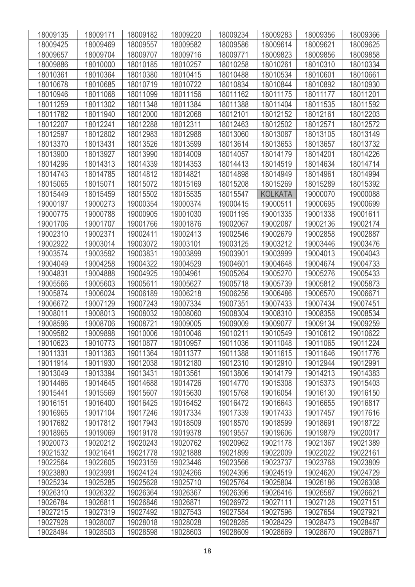| 18009135 | 18009171 | 18009182 | 18009220 | 18009234 | 18009283       | 18009356 | 18009366 |
|----------|----------|----------|----------|----------|----------------|----------|----------|
| 18009425 | 18009469 | 18009557 | 18009582 | 18009586 | 18009614       | 18009621 | 18009625 |
| 18009657 | 18009704 | 18009707 | 18009716 | 18009771 | 18009823       | 18009856 | 18009858 |
| 18009886 | 18010000 | 18010185 | 18010257 | 18010258 | 18010261       | 18010310 | 18010334 |
| 18010361 | 18010364 | 18010380 | 18010415 | 18010488 | 18010534       | 18010601 | 18010661 |
| 18010678 | 18010685 | 18010719 | 18010722 | 18010834 | 18010844       | 18010892 | 18010930 |
| 18010946 | 18011068 | 18011099 | 18011156 | 18011162 | 18011175       | 18011177 | 18011201 |
| 18011259 | 18011302 | 18011348 | 18011384 | 18011388 | 18011404       | 18011535 | 18011592 |
| 18011782 | 18011940 | 18012000 | 18012068 | 18012101 | 18012152       | 18012161 | 18012203 |
| 18012207 | 18012241 | 18012288 | 18012311 | 18012463 | 18012502       | 18012571 | 18012572 |
| 18012597 | 18012802 | 18012983 | 18012988 | 18013060 | 18013087       | 18013105 | 18013149 |
| 18013370 | 18013431 | 18013526 | 18013599 | 18013614 | 18013653       | 18013657 | 18013732 |
| 18013900 | 18013927 | 18013990 | 18014009 | 18014057 | 18014179       | 18014201 | 18014226 |
| 18014296 | 18014313 | 18014339 | 18014353 | 18014413 | 18014519       | 18014634 | 18014714 |
| 18014743 | 18014785 | 18014812 | 18014821 | 18014898 | 18014949       | 18014961 | 18014994 |
| 18015065 | 18015071 | 18015072 | 18015169 | 18015208 | 18015269       | 18015289 | 18015392 |
| 18015449 | 18015459 | 18015502 | 18015535 | 18015547 | <b>KOLKATA</b> | 19000070 | 19000088 |
| 19000197 | 19000273 | 19000354 | 19000374 | 19000415 | 19000511       | 19000695 | 19000699 |
| 19000775 | 19000788 | 19000905 | 19001030 | 19001195 | 19001335       | 19001338 | 19001611 |
| 19001706 | 19001707 | 19001766 | 19001876 | 19002067 | 19002087       | 19002136 | 19002174 |
| 19002310 | 19002371 | 19002411 | 19002413 | 19002546 | 19002679       | 19002858 | 19002887 |
| 19002922 | 19003014 | 19003072 | 19003101 | 19003125 | 19003212       | 19003446 | 19003476 |
| 19003574 | 19003592 | 19003831 | 19003899 | 19003901 | 19003999       | 19004013 | 19004043 |
| 19004049 | 19004258 | 19004322 | 19004529 | 19004601 | 19004648       | 19004674 | 19004733 |
| 19004831 | 19004888 | 19004925 | 19004961 | 19005264 | 19005270       | 19005276 | 19005433 |
| 19005566 | 19005603 | 19005611 | 19005627 | 19005718 | 19005739       | 19005812 | 19005873 |
| 19005874 | 19006024 | 19006189 | 19006218 | 19006256 | 19006486       | 19006570 | 19006671 |
| 19006672 | 19007129 | 19007243 | 19007334 | 19007351 | 19007433       | 19007434 | 19007451 |
| 19008011 | 19008013 | 19008032 | 19008060 | 19008304 | 19008310       | 19008358 | 19008534 |
| 19008596 | 19008706 | 19008721 | 19009005 | 19009009 | 19009077       | 19009134 | 19009259 |
| 19009582 | 19009898 | 19010006 | 19010046 | 19010211 | 19010549       | 19010612 | 19010622 |
| 19010623 | 19010773 | 19010877 | 19010957 | 19011036 | 19011048       | 19011065 | 19011224 |
| 19011331 | 19011363 | 19011364 | 19011377 | 19011388 | 19011615       | 19011646 | 19011776 |
| 19011914 | 19011930 | 19012038 | 19012180 | 19012310 | 19012910       | 19012944 | 19012991 |
| 19013049 | 19013394 | 19013431 | 19013561 | 19013806 | 19014179       | 19014213 | 19014383 |
| 19014466 | 19014645 | 19014688 | 19014726 | 19014770 | 19015308       | 19015373 | 19015403 |
| 19015441 | 19015569 | 19015607 | 19015630 | 19015768 | 19016054       | 19016130 | 19016150 |
| 19016151 | 19016400 | 19016425 | 19016452 | 19016472 | 19016643       | 19016655 | 19016817 |
| 19016965 | 19017104 | 19017246 | 19017334 | 19017339 | 19017433       | 19017457 | 19017616 |
| 19017682 | 19017812 | 19017943 | 19018509 | 19018570 | 19018599       | 19018691 | 19018722 |
| 19018965 | 19019069 | 19019178 | 19019378 | 19019557 | 19019606       | 19019879 | 19020017 |
| 19020073 | 19020212 | 19020243 | 19020762 | 19020962 | 19021178       | 19021367 | 19021389 |
| 19021532 | 19021641 | 19021778 | 19021888 | 19021899 | 19022009       | 19022022 | 19022161 |
| 19022564 | 19022605 | 19023159 | 19023446 | 19023566 | 19023737       | 19023768 | 19023809 |
| 19023880 | 19023991 | 19024124 | 19024266 | 19024396 | 19024519       | 19024620 | 19024729 |
| 19025234 | 19025285 | 19025628 | 19025710 | 19025764 | 19025804       | 19026186 | 19026308 |
| 19026310 | 19026322 | 19026364 | 19026367 | 19026396 | 19026416       | 19026587 | 19026621 |
| 19026784 | 19026811 | 19026846 | 19026871 | 19026972 | 19027111       | 19027128 | 19027151 |
| 19027215 | 19027319 | 19027492 | 19027543 | 19027584 | 19027596       | 19027654 | 19027921 |
| 19027928 | 19028007 | 19028018 | 19028028 | 19028285 | 19028429       | 19028473 | 19028487 |
| 19028494 | 19028503 | 19028598 | 19028603 | 19028609 | 19028669       | 19028670 | 19028671 |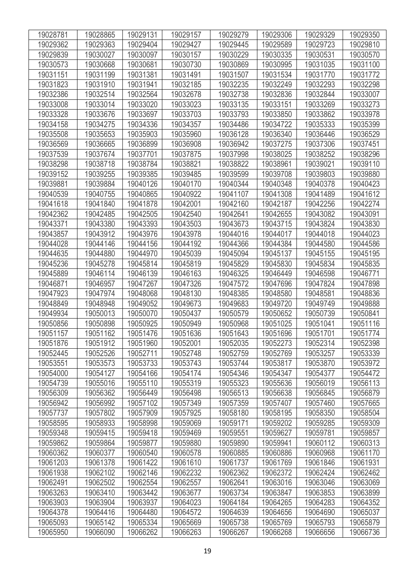| 19028781 | 19028865 | 19029131 | 19029157 | 19029279 | 19029306 | 19029329 | 19029350 |
|----------|----------|----------|----------|----------|----------|----------|----------|
| 19029362 | 19029363 | 19029404 | 19029427 | 19029445 | 19029589 | 19029723 | 19029810 |
| 19029839 | 19030027 | 19030097 | 19030157 | 19030229 | 19030335 | 19030531 | 19030570 |
| 19030573 | 19030668 | 19030681 | 19030730 | 19030869 | 19030995 | 19031035 | 19031100 |
| 19031151 | 19031199 | 19031381 | 19031491 | 19031507 | 19031534 | 19031770 | 19031772 |
| 19031823 | 19031910 | 19031941 | 19032185 | 19032235 | 19032249 | 19032293 | 19032298 |
| 19032386 | 19032514 | 19032564 | 19032678 | 19032738 | 19032836 | 19032844 | 19033007 |
| 19033008 | 19033014 | 19033020 | 19033023 | 19033135 | 19033151 | 19033269 | 19033273 |
| 19033328 | 19033676 | 19033697 | 19033703 | 19033793 | 19033850 | 19033862 | 19033978 |
| 19034158 | 19034275 | 19034336 | 19034357 | 19034486 | 19034722 | 19035333 | 19035399 |
| 19035508 | 19035653 | 19035903 | 19035960 | 19036128 | 19036340 | 19036446 | 19036529 |
| 19036569 | 19036665 | 19036899 | 19036908 | 19036942 | 19037275 | 19037306 | 19037451 |
| 19037539 | 19037674 | 19037701 | 19037875 | 19037998 | 19038025 | 19038252 | 19038296 |
| 19038298 | 19038718 | 19038784 | 19038821 | 19038822 | 19038961 | 19039021 | 19039110 |
| 19039152 | 19039255 | 19039385 | 19039485 | 19039599 | 19039708 | 19039803 | 19039880 |
| 19039881 | 19039884 | 19040126 | 19040170 | 19040344 | 19040348 | 19040378 | 19040423 |
| 19040539 | 19040755 | 19040865 | 19040922 | 19041107 | 19041308 | 19041489 | 19041612 |
| 19041618 | 19041840 | 19041878 | 19042001 | 19042160 | 19042187 | 19042256 | 19042274 |
| 19042362 | 19042485 | 19042505 | 19042540 | 19042641 | 19042655 | 19043082 | 19043091 |
| 19043371 | 19043380 | 19043393 | 19043503 | 19043673 | 19043715 | 19043824 | 19043830 |
| 19043857 | 19043912 | 19043976 | 19043978 | 19044016 | 19044017 | 19044018 | 19044023 |
| 19044028 | 19044146 | 19044156 | 19044192 | 19044366 | 19044384 | 19044580 | 19044586 |
| 19044635 | 19044880 | 19044970 | 19045039 | 19045094 | 19045137 | 19045155 | 19045195 |
| 19045236 | 19045278 | 19045814 | 19045819 | 19045829 | 19045830 | 19045834 | 19045835 |
| 19045889 | 19046114 | 19046139 | 19046163 | 19046325 | 19046449 | 19046598 | 19046771 |
| 19046871 | 19046957 | 19047267 | 19047326 | 19047572 | 19047696 | 19047824 | 19047898 |
| 19047923 | 19047974 | 19048068 | 19048130 | 19048385 | 19048580 | 19048581 | 19048836 |
| 19048849 | 19048948 | 19049052 | 19049673 | 19049683 | 19049720 | 19049749 | 19049888 |
| 19049934 | 19050013 | 19050070 | 19050437 | 19050579 | 19050652 | 19050739 | 19050841 |
| 19050856 | 19050898 | 19050925 | 19050949 | 19050968 | 19051025 | 19051041 | 19051116 |
| 19051157 | 19051162 | 19051476 | 19051636 | 19051643 | 19051696 | 19051701 | 19051774 |
| 19051876 | 19051912 | 19051960 | 19052001 | 19052035 | 19052273 | 19052314 | 19052398 |
| 19052445 | 19052526 | 19052711 | 19052748 | 19052759 | 19052769 | 19053257 | 19053339 |
| 19053551 | 19053573 | 19053733 | 19053743 | 19053744 | 19053817 | 19053870 | 19053972 |
| 19054000 | 19054127 | 19054166 | 19054174 | 19054346 | 19054347 | 19054377 | 19054472 |
| 19054739 | 19055016 | 19055110 | 19055319 | 19055323 | 19055636 | 19056019 | 19056113 |
| 19056309 | 19056362 | 19056449 | 19056498 | 19056513 | 19056638 | 19056845 | 19056879 |
| 19056942 | 19056992 | 19057102 | 19057349 | 19057359 | 19057407 | 19057460 | 19057665 |
| 19057737 | 19057802 | 19057909 | 19057925 | 19058180 | 19058195 | 19058350 | 19058504 |
| 19058595 | 19058933 | 19058998 | 19059069 | 19059171 | 19059202 | 19059285 | 19059309 |
| 19059348 | 19059415 | 19059418 | 19059469 | 19059551 | 19059627 | 19059781 | 19059857 |
| 19059862 | 19059864 | 19059877 | 19059880 | 19059890 | 19059941 | 19060112 | 19060313 |
| 19060362 | 19060377 | 19060540 | 19060578 | 19060885 | 19060886 | 19060968 | 19061170 |
| 19061203 | 19061378 | 19061422 | 19061610 | 19061737 | 19061769 | 19061846 | 19061931 |
| 19061938 | 19062102 | 19062146 | 19062232 | 19062362 | 19062372 | 19062424 | 19062462 |
| 19062491 | 19062502 | 19062554 | 19062557 | 19062641 | 19063016 | 19063046 | 19063069 |
| 19063263 | 19063410 | 19063442 | 19063677 | 19063734 | 19063847 | 19063853 | 19063899 |
| 19063903 | 19063904 | 19063937 | 19064023 | 19064184 | 19064265 | 19064283 | 19064352 |
| 19064378 | 19064416 | 19064480 | 19064572 | 19064639 | 19064656 | 19064690 | 19065037 |
| 19065093 | 19065142 | 19065334 | 19065669 | 19065738 | 19065769 | 19065793 | 19065879 |
| 19065950 | 19066090 | 19066262 | 19066263 | 19066267 | 19066268 | 19066656 | 19066736 |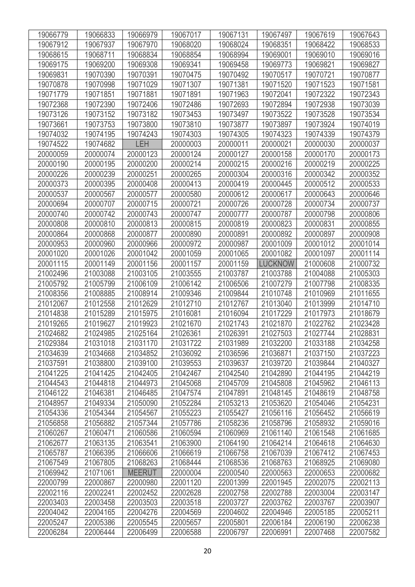| 19066779 | 19066833 | 19066979      | 19067017 | 19067131 | 19067497       | 19067619 | 19067643 |
|----------|----------|---------------|----------|----------|----------------|----------|----------|
| 19067912 | 19067937 | 19067970      | 19068020 | 19068024 | 19068351       | 19068422 | 19068533 |
| 19068615 | 19068711 | 19068834      | 19068854 | 19068994 | 19069001       | 19069010 | 19069016 |
| 19069175 | 19069200 | 19069308      | 19069341 | 19069458 | 19069773       | 19069821 | 19069827 |
| 19069831 | 19070390 | 19070391      | 19070475 | 19070492 | 19070517       | 19070721 | 19070877 |
| 19070878 | 19070998 | 19071029      | 19071307 | 19071381 | 19071520       | 19071523 | 19071581 |
| 19071779 | 19071851 | 19071881      | 19071891 | 19071963 | 19072041       | 19072322 | 19072343 |
| 19072368 | 19072390 | 19072406      | 19072486 | 19072693 | 19072894       | 19072938 | 19073039 |
| 19073126 | 19073152 | 19073182      | 19073453 | 19073497 | 19073522       | 19073528 | 19073534 |
| 19073661 | 19073753 | 19073800      | 19073810 | 19073877 | 19073897       | 19073924 | 19074019 |
| 19074032 | 19074195 | 19074243      | 19074303 | 19074305 | 19074323       | 19074339 | 19074379 |
| 19074522 | 19074682 | <b>LEH</b>    | 20000003 | 20000011 | 20000021       | 20000030 | 20000037 |
| 20000059 | 20000074 | 20000123      | 20000124 | 20000127 | 20000158       | 20000170 | 20000173 |
| 20000190 | 20000195 | 20000200      | 20000214 | 20000215 | 20000216       | 20000219 | 20000225 |
| 20000226 | 20000239 | 20000251      | 20000265 | 20000304 | 20000316       | 20000342 | 20000352 |
| 20000373 | 20000395 | 20000408      | 20000413 | 20000419 | 20000445       | 20000512 | 20000533 |
| 20000537 | 20000567 | 20000577      | 20000580 | 20000612 | 20000617       | 20000643 | 20000646 |
| 20000694 | 20000707 | 20000715      | 20000721 | 20000726 | 20000728       | 20000734 | 20000737 |
| 20000740 | 20000742 | 20000743      | 20000747 | 20000777 | 20000787       | 20000798 | 20000806 |
| 20000808 | 20000810 | 20000813      | 20000815 | 20000819 | 20000823       | 20000831 | 20000855 |
| 20000864 | 20000868 | 20000877      | 20000890 | 20000891 | 20000892       | 20000897 | 20000908 |
| 20000953 | 20000960 | 20000966      | 20000972 | 20000987 | 20001009       | 20001012 | 20001014 |
| 20001020 | 20001026 | 20001042      | 20001059 | 20001065 | 20001082       | 20001097 | 20001114 |
| 20001115 | 20001149 | 20001156      | 20001157 | 20001159 | <b>LUCKNOW</b> | 21000608 | 21000732 |
| 21002496 | 21003088 | 21003105      | 21003555 | 21003787 | 21003788       | 21004088 | 21005303 |
| 21005792 | 21005799 | 21006109      | 21006142 | 21006506 | 21007279       | 21007798 | 21008335 |
| 21008356 | 21008885 | 21008914      | 21009346 | 21009844 | 21010748       | 21010969 | 21011655 |
| 21012067 | 21012558 | 21012629      | 21012710 | 21012767 | 21013040       | 21013999 | 21014710 |
| 21014838 | 21015289 | 21015975      | 21016081 | 21016094 | 21017229       | 21017973 | 21018679 |
| 21019265 | 21019627 | 21019923      | 21021670 | 21021743 | 21021870       | 21022762 | 21023428 |
| 21024682 | 21024985 | 21025164      | 21026361 | 21026391 | 21027503       | 21027744 | 21028831 |
| 21029384 | 21031018 | 21031170      | 21031722 | 21031989 | 21032200       | 21033188 | 21034258 |
| 21034639 | 21034668 | 21034852      | 21036092 | 21036596 | 21036871       | 21037150 | 21037223 |
| 21037591 | 21038800 | 21039100      | 21039553 | 21039637 | 21039720       | 21039844 | 21040327 |
| 21041225 | 21041425 | 21042405      | 21042467 | 21042540 | 21042890       | 21044195 | 21044219 |
| 21044543 | 21044818 | 21044973      | 21045068 | 21045709 | 21045808       | 21045962 | 21046113 |
| 21046122 | 21046381 | 21046485      | 21047574 | 21047891 | 21048145       | 21048619 | 21048758 |
| 21048957 | 21049334 | 21050090      | 21052284 | 21053213 | 21053620       | 21054046 | 21054231 |
| 21054336 | 21054344 | 21054567      | 21055223 | 21055427 | 21056116       | 21056452 | 21056619 |
| 21056858 | 21056882 | 21057344      | 21057786 | 21058236 | 21058796       | 21058932 | 21059016 |
| 21060267 | 21060471 | 21060586      | 21060594 | 21060969 | 21061140       | 21061548 | 21061685 |
| 21062677 | 21063135 | 21063541      | 21063900 | 21064190 | 21064214       | 21064618 | 21064630 |
| 21065787 | 21066395 | 21066606      | 21066619 | 21066758 | 21067039       | 21067412 | 21067453 |
| 21067549 | 21067805 | 21068263      | 21068444 | 21068536 | 21068763       | 21068925 | 21069080 |
| 21069942 | 21071061 | <b>MEERUT</b> | 22000004 | 22000540 | 22000563       | 22000653 | 22000682 |
| 22000799 | 22000867 | 22000980      | 22001120 | 22001399 | 22001945       | 22002075 | 22002113 |
| 22002116 | 22002241 | 22002452      | 22002628 | 22002758 | 22002788       | 22003004 | 22003147 |
| 22003403 | 22003458 | 22003503      | 22003518 | 22003727 | 22003762       | 22003767 | 22003907 |
| 22004042 | 22004165 | 22004276      | 22004569 | 22004602 | 22004946       | 22005185 | 22005211 |
| 22005247 | 22005386 | 22005545      | 22005657 | 22005801 | 22006184       | 22006190 | 22006238 |
| 22006284 | 22006444 | 22006499      | 22006588 | 22006797 | 22006991       | 22007468 | 22007582 |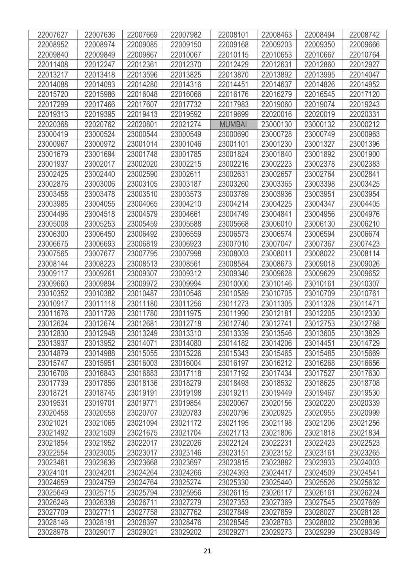| 22007627 | 22007636 | 22007669 | 22007982 | 22008101      | 22008463 | 22008494 | 22008742 |
|----------|----------|----------|----------|---------------|----------|----------|----------|
| 22008952 | 22008974 | 22009085 | 22009150 | 22009168      | 22009203 | 22009350 | 22009666 |
| 22009840 | 22009849 | 22009867 | 22010067 | 22010115      | 22010653 | 22010667 | 22010764 |
| 22011408 | 22012247 | 22012361 | 22012370 | 22012429      | 22012631 | 22012860 | 22012927 |
| 22013217 | 22013418 | 22013596 | 22013825 | 22013870      | 22013892 | 22013995 | 22014047 |
| 22014088 | 22014093 | 22014280 | 22014316 | 22014451      | 22014637 | 22014826 | 22014952 |
| 22015720 | 22015986 | 22016048 | 22016066 | 22016176      | 22016279 | 22016545 | 22017120 |
| 22017299 | 22017466 | 22017607 | 22017732 | 22017983      | 22019060 | 22019074 | 22019243 |
| 22019313 | 22019395 | 22019413 | 22019592 | 22019699      | 22020016 | 22020019 | 22020331 |
| 22020368 | 22020762 | 22020801 | 22021274 | <b>MUMBAI</b> | 23000130 | 23000132 | 23000212 |
| 23000419 | 23000524 | 23000544 | 23000549 | 23000690      | 23000728 | 23000749 | 23000963 |
| 23000967 | 23000972 | 23001014 | 23001046 | 23001101      | 23001230 | 23001327 | 23001396 |
| 23001679 | 23001694 | 23001748 | 23001785 | 23001824      | 23001840 | 23001892 | 23001900 |
| 23001937 | 23002017 | 23002020 | 23002215 | 23002216      | 23002223 | 23002378 | 23002383 |
| 23002425 | 23002440 | 23002590 | 23002611 | 23002631      | 23002657 | 23002764 | 23002841 |
| 23002876 | 23003006 | 23003105 | 23003187 | 23003260      | 23003365 | 23003398 | 23003425 |
| 23003458 | 23003478 | 23003510 | 23003573 | 23003789      | 23003936 | 23003951 | 23003954 |
| 23003985 | 23004055 | 23004065 | 23004210 | 23004214      | 23004225 | 23004347 | 23004405 |
| 23004496 | 23004518 | 23004579 | 23004661 | 23004749      | 23004841 | 23004956 | 23004976 |
| 23005008 | 23005253 | 23005459 | 23005588 | 23005668      | 23006010 | 23006130 | 23006210 |
| 23006300 | 23006450 | 23006492 | 23006559 | 23006573      | 23006574 | 23006594 | 23006674 |
| 23006675 | 23006693 | 23006819 | 23006923 | 23007010      | 23007047 | 23007367 | 23007423 |
| 23007565 | 23007677 | 23007795 | 23007998 | 23008003      | 23008011 | 23008022 | 23008114 |
| 23008144 | 23008223 | 23008513 | 23008561 | 23008584      | 23008673 | 23009018 | 23009026 |
| 23009117 | 23009261 | 23009307 | 23009312 | 23009340      | 23009628 | 23009629 | 23009652 |
| 23009660 | 23009894 | 23009972 | 23009994 | 23010000      | 23010146 | 23010161 | 23010307 |
| 23010352 | 23010382 | 23010487 | 23010546 | 23010589      | 23010705 | 23010709 | 23010761 |
| 23010917 | 23011118 | 23011180 | 23011256 | 23011273      | 23011305 | 23011328 | 23011471 |
| 23011676 | 23011726 | 23011780 | 23011975 | 23011990      | 23012181 | 23012205 | 23012330 |
| 23012624 | 23012674 | 23012681 | 23012718 | 23012740      | 23012741 | 23012753 | 23012788 |
| 23012830 | 23012948 | 23013249 | 23013310 | 23013339      | 23013546 | 23013605 | 23013829 |
| 23013937 | 23013952 | 23014071 | 23014080 | 23014182      | 23014206 | 23014451 | 23014729 |
| 23014879 | 23014988 | 23015055 | 23015226 | 23015343      | 23015465 | 23015485 | 23015669 |
| 23015747 | 23015951 | 23016003 | 23016004 | 23016197      | 23016212 | 23016268 | 23016656 |
| 23016706 | 23016843 | 23016883 | 23017118 | 23017192      | 23017434 | 23017527 | 23017630 |
| 23017739 | 23017856 | 23018136 | 23018279 | 23018493      | 23018532 | 23018625 | 23018708 |
| 23018721 | 23018745 | 23019191 | 23019198 | 23019211      | 23019449 | 23019467 | 23019530 |
| 23019531 | 23019701 | 23019771 | 23019854 | 23020067      | 23020156 | 23020220 | 23020339 |
| 23020458 | 23020558 | 23020707 | 23020783 | 23020796      | 23020925 | 23020955 | 23020999 |
| 23021021 | 23021065 | 23021094 | 23021172 | 23021195      | 23021198 | 23021206 | 23021256 |
| 23021492 | 23021509 | 23021675 | 23021704 | 23021713      | 23021806 | 23021818 | 23021834 |
| 23021854 | 23021952 | 23022017 | 23022026 | 23022124      | 23022231 | 23022423 | 23022523 |
| 23022554 | 23023005 | 23023017 | 23023146 | 23023151      | 23023152 | 23023161 | 23023265 |
| 23023461 | 23023636 | 23023668 | 23023697 | 23023815      | 23023882 | 23023933 | 23024003 |
| 23024101 | 23024201 | 23024264 | 23024266 | 23024393      | 23024417 | 23024509 | 23024541 |
| 23024659 | 23024759 | 23024764 | 23025274 | 23025330      | 23025440 | 23025526 | 23025632 |
| 23025649 | 23025715 | 23025794 | 23025956 | 23026115      | 23026117 | 23026161 | 23026224 |
| 23026246 | 23026338 | 23026711 | 23027279 | 23027353      | 23027369 | 23027545 | 23027669 |
| 23027709 | 23027711 | 23027758 | 23027762 | 23027849      | 23027859 | 23028027 | 23028128 |
| 23028146 | 23028191 | 23028397 | 23028476 | 23028545      | 23028783 | 23028802 | 23028836 |
| 23028978 | 23029017 | 23029021 | 23029202 | 23029271      | 23029273 | 23029299 | 23029349 |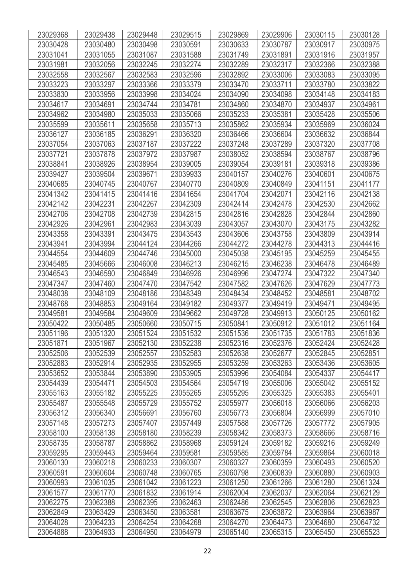| 23029368 | 23029438 | 23029448 | 23029515 | 23029869 | 23029906 | 23030115 | 23030128 |
|----------|----------|----------|----------|----------|----------|----------|----------|
| 23030428 | 23030480 | 23030498 | 23030591 | 23030633 | 23030787 | 23030917 | 23030975 |
| 23031041 | 23031055 | 23031087 | 23031588 | 23031749 | 23031891 | 23031916 | 23031957 |
| 23031981 | 23032056 | 23032245 | 23032274 | 23032289 | 23032317 | 23032366 | 23032388 |
| 23032558 | 23032567 | 23032583 | 23032596 | 23032892 | 23033006 | 23033083 | 23033095 |
| 23033223 | 23033297 | 23033366 | 23033379 | 23033470 | 23033711 | 23033780 | 23033822 |
| 23033830 | 23033956 | 23033998 | 23034024 | 23034090 | 23034098 | 23034148 | 23034183 |
| 23034617 | 23034691 | 23034744 | 23034781 | 23034860 | 23034870 | 23034937 | 23034961 |
| 23034962 | 23034980 | 23035033 | 23035066 | 23035233 | 23035381 | 23035428 | 23035506 |
| 23035599 | 23035611 | 23035658 | 23035713 | 23035862 | 23035934 | 23035969 | 23036024 |
| 23036127 | 23036185 | 23036291 | 23036320 | 23036466 | 23036604 | 23036632 | 23036844 |
| 23037054 | 23037063 | 23037187 | 23037222 | 23037248 | 23037289 | 23037320 | 23037708 |
| 23037721 | 23037878 | 23037972 | 23037987 | 23038052 | 23038594 | 23038767 | 23038796 |
| 23038841 | 23038926 | 23038954 | 23039005 | 23039054 | 23039181 | 23039318 | 23039386 |
| 23039427 | 23039504 | 23039671 | 23039933 | 23040157 | 23040276 | 23040601 | 23040675 |
| 23040685 | 23040745 | 23040767 | 23040770 | 23040809 | 23040849 | 23041151 | 23041177 |
| 23041342 | 23041415 | 23041416 | 23041654 | 23041704 | 23042071 | 23042116 | 23042138 |
| 23042142 | 23042231 | 23042267 | 23042309 | 23042414 | 23042478 | 23042530 | 23042662 |
| 23042706 | 23042708 | 23042739 | 23042815 | 23042816 | 23042828 | 23042844 | 23042860 |
| 23042926 | 23042961 | 23042983 | 23043039 | 23043057 | 23043070 | 23043175 | 23043282 |
| 23043358 | 23043391 | 23043475 | 23043543 | 23043606 | 23043758 | 23043809 | 23043914 |
| 23043941 | 23043994 | 23044124 | 23044266 | 23044272 | 23044278 | 23044313 | 23044416 |
| 23044554 | 23044609 | 23044746 | 23045000 | 23045038 | 23045195 | 23045259 | 23045455 |
| 23045485 | 23045666 | 23046008 | 23046213 | 23046215 | 23046238 | 23046478 | 23046489 |
| 23046543 | 23046590 | 23046849 | 23046926 | 23046996 | 23047274 | 23047322 | 23047340 |
| 23047347 | 23047460 | 23047470 | 23047542 | 23047582 | 23047626 | 23047629 | 23047773 |
| 23048038 | 23048109 | 23048186 | 23048349 | 23048434 | 23048452 | 23048581 | 23048702 |
| 23048768 | 23048853 | 23049164 | 23049182 | 23049377 | 23049419 | 23049471 | 23049495 |
| 23049581 | 23049584 | 23049609 | 23049662 | 23049728 | 23049913 | 23050125 | 23050162 |
| 23050422 | 23050485 | 23050660 | 23050715 | 23050841 | 23050912 | 23051012 | 23051164 |
| 23051196 | 23051320 | 23051524 | 23051532 | 23051536 | 23051735 | 23051783 | 23051836 |
| 23051871 | 23051967 | 23052130 | 23052238 | 23052316 | 23052376 | 23052424 | 23052428 |
| 23052506 | 23052539 | 23052557 | 23052583 | 23052638 | 23052677 | 23052845 | 23052851 |
| 23052883 | 23052914 | 23052935 | 23052955 | 23053259 | 23053263 | 23053436 | 23053605 |
| 23053652 | 23053844 | 23053890 | 23053905 | 23053996 | 23054084 | 23054337 | 23054417 |
| 23054439 | 23054471 | 23054503 | 23054564 | 23054719 | 23055006 | 23055042 | 23055152 |
| 23055163 | 23055182 | 23055225 | 23055265 | 23055295 | 23055325 | 23055383 | 23055401 |
| 23055487 | 23055548 | 23055729 | 23055752 | 23055977 | 23056018 | 23056066 | 23056203 |
| 23056312 | 23056340 | 23056691 | 23056760 | 23056773 | 23056804 | 23056999 | 23057010 |
| 23057148 | 23057273 | 23057407 | 23057449 | 23057588 | 23057726 | 23057772 | 23057905 |
| 23058100 | 23058138 | 23058180 | 23058239 | 23058342 | 23058373 | 23058666 | 23058716 |
| 23058735 | 23058787 | 23058862 | 23058968 | 23059124 | 23059182 | 23059216 | 23059249 |
| 23059295 | 23059443 | 23059464 | 23059581 | 23059585 | 23059784 | 23059864 | 23060018 |
| 23060130 | 23060218 | 23060233 | 23060307 | 23060327 | 23060359 | 23060493 | 23060520 |
| 23060591 | 23060604 | 23060748 | 23060765 | 23060798 | 23060839 | 23060880 | 23060903 |
| 23060993 | 23061035 | 23061042 | 23061223 | 23061250 | 23061266 | 23061280 | 23061324 |
| 23061577 | 23061770 | 23061832 | 23061914 | 23062004 | 23062037 | 23062064 | 23062129 |
| 23062275 | 23062388 | 23062395 | 23062463 | 23062486 | 23062545 | 23062806 | 23062823 |
| 23062849 | 23063429 | 23063450 | 23063581 | 23063675 | 23063872 | 23063964 | 23063987 |
| 23064028 | 23064233 | 23064254 | 23064268 | 23064270 | 23064473 | 23064680 | 23064732 |
| 23064888 | 23064933 | 23064950 | 23064979 | 23065140 | 23065315 | 23065450 | 23065523 |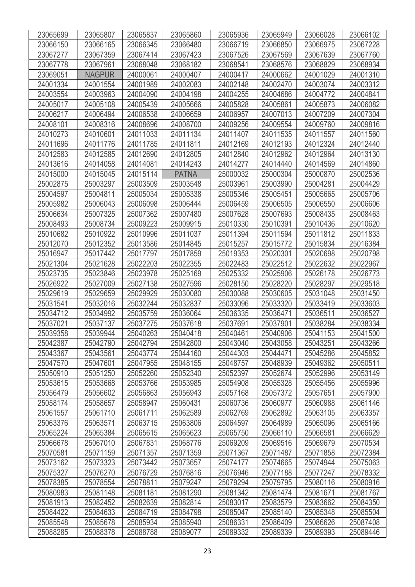| 23065699             | 23065807             | 23065837             | 23065860             | 23065936             | 23065949             | 23066028             | 23066102             |
|----------------------|----------------------|----------------------|----------------------|----------------------|----------------------|----------------------|----------------------|
| 23066150             | 23066165             | 23066345             | 23066480             | 23066719             | 23066850             | 23066975             | 23067228             |
| 23067277             | 23067359             | 23067414             | 23067423             | 23067526             | 23067569             | 23067639             | 23067760             |
| 23067778             | 23067961             | 23068048             | 23068182             | 23068541             | 23068576             | 23068829             | 23068934             |
| 23069051             | <b>NAGPUR</b>        | 24000061             | 24000407             | 24000417             | 24000662             | 24001029             | 24001310             |
| 24001334             | 24001554             | 24001989             | 24002083             | 24002148             | 24002470             | 24003074             | 24003312             |
| 24003554             | 24003963             | 24004090             | 24004198             | 24004255             | 24004686             | 24004772             | 24004841             |
| 24005017             | 24005108             | 24005439             | 24005666             | 24005828             | 24005861             | 24005873             | 24006082             |
| 24006217             | 24006494             | 24006538             | 24006659             | 24006957             | 24007013             | 24007209             | 24007304             |
| 24008101             | 24008316             | 24008696             | 24008700             | 24009256             | 24009554             | 24009760             | 24009816             |
| 24010273             | 24010601             | 24011033             | 24011134             | 24011407             | 24011535             | 24011557             | 24011560             |
| 24011696             | 24011776             | 24011785             | 24011811             | 24012169             | 24012193             | 24012324             | 24012440             |
| 24012583             | 24012585             | 24012690             | 24012805             | 24012840             | 24012962             | 24012964             | 24013130             |
| 24013616             | 24014058             | 24014081             | 24014243             | 24014277             | 24014440             | 24014569             | 24014860             |
| 24015000             | 24015045             | 24015114             | <b>PATNA</b>         | 25000032             | 25000304             | 25000870             | 25002536             |
| 25002875             | 25003297             | 25003509             | 25003548             | 25003961             | 25003990             | 25004281             | 25004429             |
| 25004597             | 25004811             | 25005034             | 25005338             | 25005346             | 25005451             | 25005665             | 25005706             |
| 25005982             | 25006043             | 25006098             | 25006444             | 25006459             | 25006505             | 25006550             | 25006606             |
| 25006634             | 25007325             | 25007362             | 25007480             | 25007628             | 25007693             | 25008435             | 25008463             |
| 25008493             | 25008734             | 25009223             | 25009915             | 25010330             | 25010391             | 25010436             | 25010620             |
| 25010682             | 25010922             | 25010996             | 25011037             | 25011394             | 25011594             | 25011812             | 25011833             |
| 25012070             | 25012352             | 25013586             | 25014845             | 25015257             | 25015772             | 25015834             | 25016384             |
| 25016947             | 25017442             | 25017797             | 25017859             | 25019353             | 25020301             | 25020698             | 25020798             |
| 25021304             | 25021628             | 25022203             | 25022355             | 25022483             | 25022512             | 25022632             | 25022967             |
| 25023735             | 25023846             | 25023978             | 25025169             | 25025332             | 25025906             | 25026178             | 25026773             |
| 25026922             | 25027009             | 25027138             | 25027596             | 25028150             | 25028220             | 25028297             | 25029518             |
| 25029619             | 25029659             | 25029929             | 25030080             | 25030088             | 25030605             | 25031048             | 25031450             |
| 25031541             | 25032016             | 25032244             | 25032837             | 25033096             | 25033320             | 25033419             | 25033603             |
| 25034712             | 25034992             | 25035759             | 25036064             | 25036335             | 25036471             | 25036511             | 25036527             |
| 25037021             | 25037137             | 25037275             | 25037618             | 25037691             | 25037901             | 25038284             | 25038334             |
| 25039358             | 25039944             | 25040263             | 25040418             | 25040461             | 25040906             | 25041153             | 25041500             |
| 25042387             | 25042790             | 25042794             | 25042800             | 25043040             | 25043058             | 25043251             | 25043266             |
| 25043367             | 25043561             | 25043774             | 25044160             | 25044303             | 25044471             | 25045286             | 25045852             |
| 25047570             | 25047601             | 25047955             | 25048155             | 25048757             | 25048939             | 25049362             | 25050511             |
| 25050910             | 25051250             | 25052260             | 25052340             | 25052397             | 25052674             | 25052996             | 25053149             |
| 25053615<br>25056479 | 25053668<br>25056602 | 25053766             | 25053985             | 25054908<br>25057168 | 25055328<br>25057372 | 25055456<br>25057651 | 25055996<br>25057900 |
| 25058174             | 25058657             | 25056863<br>25058947 | 25056943<br>25060431 | 25060736             | 25060977             | 25060988             | 25061146             |
| 25061557             | 25061710             | 25061711             | 25062589             | 25062769             | 25062892             | 25063105             | 25063357             |
| 25063376             | 25063571             | 25063715             | 25063806             | 25064597             | 25064989             | 25065096             | 25065166             |
| 25065224             | 25065384             | 25065615             | 25065623             | 25065750             | 25066110             | 25066581             | 25066629             |
| 25066678             | 25067010             | 25067831             | 25068776             | 25069209             | 25069516             | 25069679             | 25070534             |
| 25070581             | 25071159             | 25071357             | 25071359             | 25071367             | 25071487             | 25071858             | 25072384             |
| 25073162             | 25073323             | 25073442             | 25073657             | 25074177             | 25074665             | 25074944             | 25075063             |
| 25075327             | 25076270             | 25076729             | 25076816             | 25076946             | 25077188             | 25077247             | 25078332             |
| 25078385             | 25078554             | 25078811             | 25079247             | 25079294             | 25079795             | 25080116             | 25080916             |
| 25080983             | 25081148             | 25081181             | 25081290             | 25081342             | 25081474             | 25081671             | 25081767             |
| 25081913             | 25082452             | 25082639             | 25082814             | 25083017             | 25083579             | 25083662             | 25084350             |
| 25084422             | 25084633             | 25084719             | 25084798             | 25085047             | 25085140             | 25085348             | 25085504             |
| 25085548             | 25085678             | 25085934             | 25085940             | 25086331             | 25086409             | 25086626             | 25087408             |
| 25088285             | 25088378             | 25088788             | 25089077             | 25089332             | 25089339             | 25089393             | 25089446             |
|                      |                      |                      |                      |                      |                      |                      |                      |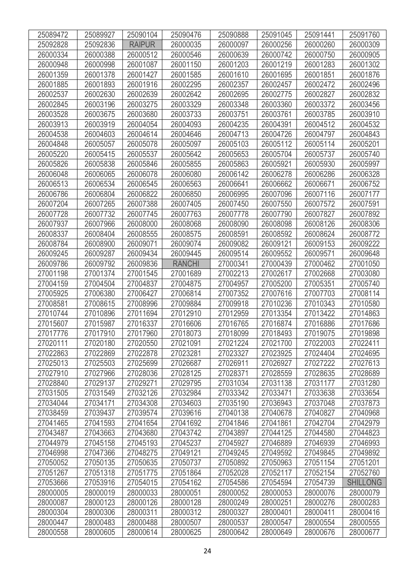| 25089472 | 25089927 | 25090104      | 25090476      | 25090888 | 25091045 | 25091441 | 25091760        |
|----------|----------|---------------|---------------|----------|----------|----------|-----------------|
| 25092828 | 25092836 | <b>RAIPUR</b> | 26000035      | 26000097 | 26000256 | 26000260 | 26000309        |
| 26000334 | 26000388 | 26000512      | 26000546      | 26000639 | 26000742 | 26000750 | 26000905        |
| 26000948 | 26000998 | 26001087      | 26001150      | 26001203 | 26001219 | 26001283 | 26001302        |
| 26001359 | 26001378 | 26001427      | 26001585      | 26001610 | 26001695 | 26001851 | 26001876        |
| 26001885 | 26001893 | 26001916      | 26002295      | 26002357 | 26002457 | 26002472 | 26002496        |
| 26002537 | 26002630 | 26002639      | 26002642      | 26002695 | 26002775 | 26002827 | 26002832        |
| 26002845 | 26003196 | 26003275      | 26003329      | 26003348 | 26003360 | 26003372 | 26003456        |
| 26003528 | 26003675 | 26003680      | 26003733      | 26003751 | 26003761 | 26003785 | 26003910        |
| 26003913 | 26003919 | 26004054      | 26004093      | 26004235 | 26004391 | 26004512 | 26004532        |
| 26004538 | 26004603 | 26004614      | 26004646      | 26004713 | 26004726 | 26004797 | 26004843        |
| 26004848 | 26005057 | 26005078      | 26005097      | 26005103 | 26005112 | 26005114 | 26005201        |
| 26005220 | 26005415 | 26005537      | 26005642      | 26005653 | 26005704 | 26005737 | 26005740        |
| 26005826 | 26005838 | 26005846      | 26005855      | 26005863 | 26005921 | 26005930 | 26005997        |
| 26006048 | 26006065 | 26006078      | 26006080      | 26006142 | 26006278 | 26006286 | 26006328        |
| 26006513 | 26006534 | 26006545      | 26006563      | 26006641 | 26006662 | 26006671 | 26006752        |
| 26006786 | 26006804 | 26006822      | 26006850      | 26006995 | 26007096 | 26007116 | 26007177        |
| 26007204 | 26007265 | 26007388      | 26007405      | 26007450 | 26007550 | 26007572 | 26007591        |
| 26007728 | 26007732 | 26007745      | 26007763      | 26007778 | 26007790 | 26007827 | 26007892        |
| 26007937 | 26007966 | 26008000      | 26008068      | 26008090 | 26008098 | 26008126 | 26008306        |
| 26008337 | 26008404 | 26008555      | 26008575      | 26008591 | 26008592 | 26008624 | 26008772        |
| 26008784 | 26008900 | 26009071      | 26009074      | 26009082 | 26009121 | 26009153 | 26009222        |
| 26009245 | 26009287 | 26009434      | 26009445      | 26009514 | 26009552 | 26009571 | 26009648        |
| 26009786 | 26009792 | 26009836      | <b>RANCHI</b> | 27000341 | 27000439 | 27000462 | 27001050        |
| 27001198 | 27001374 | 27001545      | 27001689      | 27002213 | 27002617 | 27002668 | 27003080        |
| 27004159 | 27004504 | 27004837      | 27004875      | 27004957 | 27005200 | 27005351 | 27005740        |
| 27005925 | 27006380 | 27006427      | 27006814      | 27007352 | 27007616 | 27007703 | 27008114        |
| 27008581 | 27008615 | 27008996      | 27009884      | 27009918 | 27010236 | 27010343 | 27010580        |
| 27010744 | 27010896 | 27011694      | 27012910      | 27012959 | 27013354 | 27013422 | 27014863        |
| 27015607 | 27015987 | 27016337      | 27016606      | 27016765 | 27016874 | 27016886 | 27017686        |
| 27017776 | 27017910 | 27017960      | 27018073      | 27018099 | 27018493 | 27019075 | 27019898        |
| 27020111 | 27020180 | 27020550      | 27021091      | 27021224 | 27021700 | 27022003 | 27022411        |
| 27022863 | 27022869 | 27022878      | 27023281      | 27023327 | 27023925 | 27024404 | 27024695        |
| 27025013 | 27025503 | 27025699      | 27026687      | 27026911 | 27026927 | 27027222 | 27027613        |
| 27027910 | 27027966 | 27028036      | 27028125      | 27028371 | 27028559 | 27028635 | 27028689        |
| 27028840 | 27029137 | 27029271      | 27029795      | 27031034 | 27031138 | 27031177 | 27031280        |
| 27031505 | 27031549 | 27032126      | 27032984      | 27033342 | 27033471 | 27033638 | 27033654        |
| 27034044 | 27034171 | 27034308      | 27034603      | 27035190 | 27036943 | 27037048 | 27037873        |
| 27038459 | 27039437 | 27039574      | 27039616      | 27040138 | 27040678 | 27040827 | 27040968        |
| 27041465 | 27041593 | 27041654      | 27041692      | 27041846 | 27041861 | 27042704 | 27042979        |
| 27043487 | 27043663 | 27043680      | 27043742      | 27043897 | 27044125 | 27044580 | 27044823        |
| 27044979 | 27045158 | 27045193      | 27045237      | 27045927 | 27046889 | 27046939 | 27046993        |
| 27046998 | 27047366 | 27048275      | 27049121      | 27049245 | 27049592 | 27049845 | 27049892        |
| 27050052 | 27050135 | 27050635      | 27050737      | 27050892 | 27050963 | 27051154 | 27051201        |
| 27051267 | 27051318 | 27051775      | 27051864      | 27052028 | 27052117 | 27052154 | 27052760        |
| 27053666 | 27053916 | 27054015      | 27054162      | 27054586 | 27054594 | 27054739 | <b>SHILLONG</b> |
| 28000005 | 28000019 | 28000033      | 28000051      | 28000052 | 28000053 | 28000076 | 28000079        |
| 28000087 | 28000123 | 28000126      | 28000128      | 28000249 | 28000251 | 28000276 | 28000283        |
| 28000304 | 28000306 | 28000311      | 28000312      | 28000327 | 28000401 | 28000411 | 28000416        |
| 28000447 | 28000483 | 28000488      | 28000507      | 28000537 | 28000547 | 28000554 | 28000555        |
| 28000558 | 28000605 | 28000614      | 28000625      | 28000642 | 28000649 | 28000676 | 28000677        |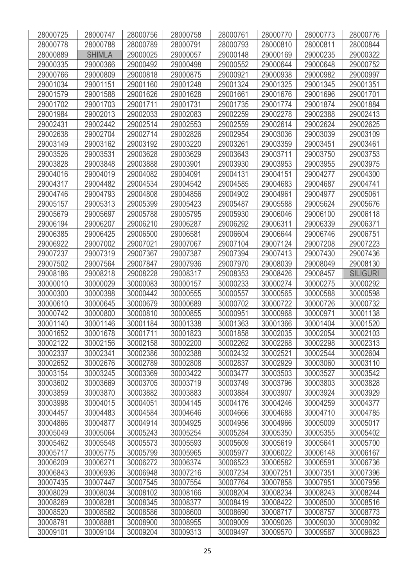| 28000725 | 28000747      | 28000756 | 28000758 | 28000761 | 28000770 | 28000773 | 28000776        |
|----------|---------------|----------|----------|----------|----------|----------|-----------------|
| 28000778 | 28000788      | 28000789 | 28000791 | 28000793 | 28000810 | 28000811 | 28000844        |
| 28000889 | <b>SHIMLA</b> | 29000025 | 29000057 | 29000148 | 29000169 | 29000235 | 29000322        |
| 29000335 | 29000366      | 29000492 | 29000498 | 29000552 | 29000644 | 29000648 | 29000752        |
| 29000766 | 29000809      | 29000818 | 29000875 | 29000921 | 29000938 | 29000982 | 29000997        |
| 29001034 | 29001151      | 29001160 | 29001248 | 29001324 | 29001325 | 29001345 | 29001351        |
| 29001579 | 29001588      | 29001626 | 29001628 | 29001661 | 29001676 | 29001696 | 29001701        |
| 29001702 | 29001703      | 29001711 | 29001731 | 29001735 | 29001774 | 29001874 | 29001884        |
| 29001984 | 29002013      | 29002033 | 29002083 | 29002259 | 29002278 | 29002388 | 29002413        |
| 29002431 | 29002442      | 29002514 | 29002553 | 29002559 | 29002614 | 29002624 | 29002625        |
| 29002638 | 29002704      | 29002714 | 29002826 | 29002954 | 29003036 | 29003039 | 29003109        |
| 29003149 | 29003162      | 29003192 | 29003220 | 29003261 | 29003359 | 29003451 | 29003461        |
| 29003526 | 29003531      | 29003628 | 29003629 | 29003643 | 29003711 | 29003750 | 29003753        |
| 29003828 | 29003848      | 29003888 | 29003901 | 29003930 | 29003953 | 29003955 | 29003975        |
| 29004016 | 29004019      | 29004082 | 29004091 | 29004131 | 29004151 | 29004277 | 29004300        |
| 29004317 | 29004482      | 29004534 | 29004542 | 29004585 | 29004683 | 29004687 | 29004741        |
| 29004746 | 29004793      | 29004808 | 29004856 | 29004902 | 29004961 | 29004977 | 29005061        |
| 29005157 | 29005313      | 29005399 | 29005423 | 29005487 | 29005588 | 29005624 | 29005676        |
| 29005679 | 29005697      | 29005788 | 29005795 | 29005930 | 29006046 | 29006100 | 29006118        |
| 29006194 | 29006207      | 29006210 | 29006287 | 29006292 | 29006311 | 29006339 | 29006371        |
| 29006385 | 29006425      | 29006500 | 29006581 | 29006604 | 29006644 | 29006746 | 29006751        |
| 29006922 | 29007002      | 29007021 | 29007067 | 29007104 | 29007124 | 29007208 | 29007223        |
| 29007237 | 29007319      | 29007367 | 29007387 | 29007394 | 29007413 | 29007430 | 29007436        |
| 29007502 | 29007564      | 29007847 | 29007936 | 29007970 | 29008039 | 29008049 | 29008130        |
| 29008186 | 29008218      | 29008228 | 29008317 | 29008353 | 29008426 | 29008457 | <b>SILIGURI</b> |
| 30000010 | 30000029      | 30000083 | 30000157 | 30000233 | 30000274 | 30000275 | 30000292        |
| 30000300 | 30000398      | 30000442 | 30000555 | 30000557 | 30000565 | 30000588 | 30000598        |
| 30000610 | 30000645      | 30000679 | 30000689 | 30000702 | 30000722 | 30000726 | 30000732        |
| 30000742 | 30000800      | 30000810 | 30000855 | 30000951 | 30000968 | 30000971 | 30001138        |
| 30001140 | 30001146      | 30001184 | 30001338 | 30001363 | 30001366 | 30001404 | 30001520        |
| 30001652 | 30001678      | 30001711 | 30001823 | 30001858 | 30002035 | 30002054 | 30002103        |
| 30002122 | 30002156      | 30002158 | 30002200 | 30002262 | 30002268 | 30002298 | 30002313        |
| 30002337 | 30002341      | 30002386 | 30002388 | 30002432 | 30002521 | 30002544 | 30002604        |
| 30002652 | 30002676      | 30002789 | 30002808 | 30002837 | 30002929 | 30003060 | 30003110        |
| 30003154 | 30003245      | 30003369 | 30003422 | 30003477 | 30003503 | 30003527 | 30003542        |
| 30003602 | 30003669      | 30003705 | 30003719 | 30003749 | 30003796 | 30003803 | 30003828        |
| 30003859 | 30003870      | 30003882 | 30003883 | 30003884 | 30003907 | 30003924 | 30003929        |
| 30003998 | 30004015      | 30004051 | 30004145 | 30004176 | 30004246 | 30004259 | 30004377        |
| 30004457 | 30004483      | 30004584 | 30004646 | 30004666 | 30004688 | 30004710 | 30004785        |
| 30004866 | 30004877      | 30004914 | 30004925 | 30004956 | 30004966 | 30005009 | 30005017        |
| 30005049 | 30005064      | 30005243 | 30005254 | 30005284 | 30005350 | 30005355 | 30005402        |
| 30005462 | 30005548      | 30005573 | 30005593 | 30005609 | 30005619 | 30005641 | 30005700        |
| 30005717 | 30005775      | 30005799 | 30005965 | 30005977 | 30006022 | 30006148 | 30006167        |
| 30006209 | 30006271      | 30006272 | 30006374 | 30006523 | 30006582 | 30006591 | 30006736        |
| 30006843 | 30006936      | 30006948 | 30007216 | 30007234 | 30007251 | 30007351 | 30007396        |
| 30007435 | 30007447      | 30007545 | 30007554 | 30007764 | 30007858 | 30007951 | 30007956        |
| 30008029 | 30008034      | 30008102 | 30008166 | 30008204 | 30008234 | 30008243 | 30008244        |
| 30008269 | 30008281      | 30008345 | 30008377 | 30008419 | 30008422 | 30008500 | 30008516        |
| 30008520 | 30008582      | 30008586 | 30008600 | 30008690 | 30008717 | 30008757 | 30008773        |
| 30008791 | 30008881      | 30008900 | 30008955 | 30009009 | 30009026 | 30009030 | 30009092        |
| 30009101 | 30009104      | 30009204 | 30009313 | 30009497 | 30009570 | 30009587 | 30009623        |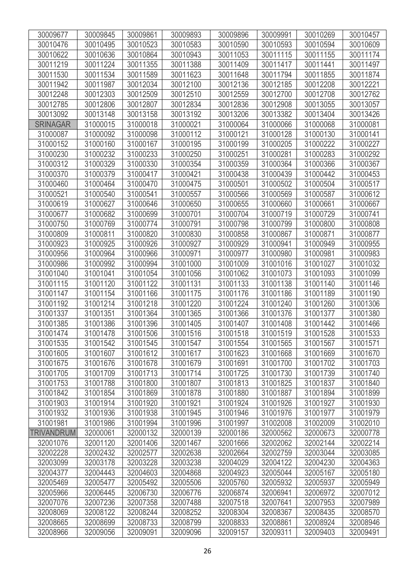| 30009677          | 30009845 | 30009861 | 30009893 | 30009896 | 30009991 | 30010269 | 30010457 |
|-------------------|----------|----------|----------|----------|----------|----------|----------|
| 30010476          | 30010495 | 30010523 | 30010583 | 30010590 | 30010593 | 30010594 | 30010609 |
| 30010622          | 30010636 | 30010864 | 30010943 | 30011053 | 30011115 | 30011155 | 30011174 |
| 30011219          | 30011224 | 30011355 | 30011388 | 30011409 | 30011417 | 30011441 | 30011497 |
| 30011530          | 30011534 | 30011589 | 30011623 | 30011648 | 30011794 | 30011855 | 30011874 |
| 30011942          | 30011987 | 30012034 | 30012100 | 30012136 | 30012185 | 30012208 | 30012221 |
| 30012248          | 30012303 | 30012509 | 30012510 | 30012559 | 30012700 | 30012708 | 30012762 |
| 30012785          | 30012806 | 30012807 | 30012834 | 30012836 | 30012908 | 30013055 | 30013057 |
| 30013092          | 30013148 | 30013158 | 30013192 | 30013206 | 30013382 | 30013404 | 30013426 |
| <b>SRINAGAR</b>   | 31000015 | 31000018 | 31000021 | 31000064 | 31000066 | 31000068 | 31000081 |
| 31000087          | 31000092 | 31000098 | 31000112 | 31000121 | 31000128 | 31000130 | 31000141 |
| 31000152          | 31000160 | 31000167 | 31000195 | 31000199 | 31000205 | 31000222 | 31000227 |
| 31000230          | 31000232 | 31000233 | 31000250 | 31000251 | 31000281 | 31000283 | 31000292 |
| 31000312          | 31000329 | 31000330 | 31000354 | 31000359 | 31000364 | 31000366 | 31000367 |
| 31000370          | 31000379 | 31000417 | 31000421 | 31000438 | 31000439 | 31000442 | 31000453 |
| 31000460          | 31000464 | 31000470 | 31000475 | 31000501 | 31000502 | 31000504 | 31000517 |
| 31000521          | 31000540 | 31000541 | 31000557 | 31000566 | 31000569 | 31000587 | 31000612 |
| 31000619          | 31000627 | 31000646 | 31000650 | 31000655 | 31000660 | 31000661 | 31000667 |
| 31000677          | 31000682 | 31000699 | 31000701 | 31000704 | 31000719 | 31000729 | 31000741 |
| 31000750          | 31000769 | 31000774 | 31000791 | 31000798 | 31000799 | 31000800 | 31000808 |
| 31000809          | 31000811 | 31000820 | 31000830 | 31000858 | 31000867 | 31000871 | 31000877 |
| 31000923          | 31000925 | 31000926 | 31000927 | 31000929 | 31000941 | 31000949 | 31000955 |
| 31000956          | 31000964 | 31000966 | 31000971 | 31000977 | 31000980 | 31000981 | 31000983 |
| 31000986          | 31000992 | 31000994 | 31001000 | 31001009 | 31001016 | 31001027 | 31001032 |
| 31001040          | 31001041 | 31001054 | 31001056 | 31001062 | 31001073 | 31001093 | 31001099 |
| 31001115          | 31001120 | 31001122 | 31001131 | 31001133 | 31001138 | 31001140 | 31001146 |
| 31001147          | 31001154 | 31001166 | 31001175 | 31001176 | 31001186 | 31001189 | 31001190 |
| 31001192          | 31001214 | 31001218 | 31001220 | 31001224 | 31001240 | 31001260 | 31001306 |
| 31001337          | 31001351 | 31001364 | 31001365 | 31001366 | 31001376 | 31001377 | 31001380 |
| 31001385          | 31001386 | 31001396 | 31001405 | 31001407 | 31001408 | 31001442 | 31001466 |
| 31001474          | 31001478 | 31001506 | 31001516 | 31001518 | 31001519 | 31001528 | 31001533 |
| 31001535          | 31001542 | 31001545 | 31001547 | 31001554 | 31001565 | 31001567 | 31001571 |
| 31001605          | 31001607 | 31001612 | 31001617 | 31001623 | 31001668 | 31001669 | 31001670 |
| 31001675          | 31001676 | 31001678 | 31001679 | 31001691 | 31001700 | 31001702 | 31001703 |
| 31001705          | 31001709 | 31001713 | 31001714 | 31001725 | 31001730 | 31001739 | 31001740 |
| 31001753          | 31001788 | 31001800 | 31001807 | 31001813 | 31001825 | 31001837 | 31001840 |
| 31001842          | 31001854 | 31001869 | 31001878 | 31001880 | 31001887 | 31001894 | 31001899 |
| 31001903          | 31001914 | 31001920 | 31001921 | 31001924 | 31001926 | 31001927 | 31001930 |
| 31001932          | 31001936 | 31001938 | 31001945 | 31001946 | 31001976 | 31001977 | 31001979 |
| 31001981          | 31001986 | 31001994 | 31001996 | 31001997 | 31002008 | 31002009 | 31002010 |
| <b>TRIVANDRUM</b> | 32000061 | 32000132 | 32000139 | 32000186 | 32000562 | 32000673 | 32000778 |
| 32001076          | 32001120 | 32001406 | 32001467 | 32001666 | 32002062 | 32002144 | 32002214 |
| 32002228          | 32002432 | 32002577 | 32002638 | 32002664 | 32002759 | 32003044 | 32003085 |
| 32003099          | 32003178 | 32003228 | 32003238 | 32004029 | 32004122 | 32004230 | 32004363 |
| 32004377          | 32004443 | 32004603 | 32004868 | 32004923 | 32005044 | 32005167 | 32005180 |
| 32005469          | 32005477 | 32005492 | 32005506 | 32005760 | 32005932 | 32005937 | 32005949 |
| 32005966          | 32006445 | 32006730 | 32006776 | 32006874 | 32006941 | 32006972 | 32007012 |
| 32007076          | 32007236 | 32007358 | 32007488 | 32007518 | 32007641 | 32007953 | 32007989 |
| 32008069          | 32008122 | 32008244 | 32008252 | 32008304 | 32008367 | 32008435 | 32008570 |
| 32008665          | 32008699 | 32008733 | 32008799 | 32008833 | 32008861 | 32008924 | 32008946 |
| 32008966          | 32009056 | 32009091 | 32009096 | 32009157 | 32009311 | 32009403 | 32009491 |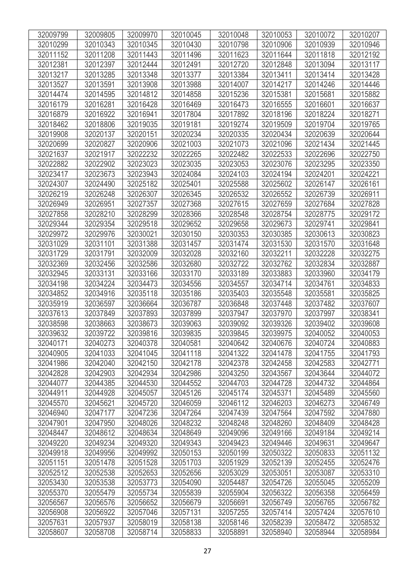| 32009799 | 32009805 | 32009970 | 32010045 | 32010048 | 32010053 | 32010072 | 32010207 |
|----------|----------|----------|----------|----------|----------|----------|----------|
| 32010299 | 32010343 | 32010345 | 32010430 | 32010798 | 32010906 | 32010939 | 32010946 |
| 32011152 | 32011208 | 32011443 | 32011496 | 32011623 | 32011644 | 32011818 | 32012192 |
| 32012381 | 32012397 | 32012444 | 32012491 | 32012720 | 32012848 | 32013094 | 32013117 |
| 32013217 | 32013285 | 32013348 | 32013377 | 32013384 | 32013411 | 32013414 | 32013428 |
| 32013527 | 32013591 | 32013908 | 32013988 | 32014007 | 32014217 | 32014246 | 32014446 |
| 32014474 | 32014595 | 32014812 | 32014858 | 32015236 | 32015381 | 32015681 | 32015882 |
| 32016179 | 32016281 | 32016428 | 32016469 | 32016473 | 32016555 | 32016601 | 32016637 |
| 32016879 | 32016922 | 32016941 | 32017804 | 32017892 | 32018196 | 32018224 | 32018271 |
| 32018462 | 32018806 | 32019035 | 32019181 | 32019274 | 32019509 | 32019704 | 32019765 |
| 32019908 | 32020137 | 32020151 | 32020234 | 32020335 | 32020434 | 32020639 | 32020644 |
| 32020699 | 32020827 | 32020906 | 32021003 | 32021073 | 32021096 | 32021434 | 32021445 |
| 32021637 | 32021917 | 32022232 | 32022265 | 32022482 | 32022533 | 32022696 | 32022750 |
| 32022882 | 32022902 | 32023023 | 32023035 | 32023053 | 32023076 | 32023295 | 32023350 |
| 32023417 | 32023673 | 32023943 | 32024084 | 32024103 | 32024194 | 32024201 | 32024221 |
| 32024307 | 32024490 | 32025182 | 32025401 | 32025588 | 32025602 | 32026147 | 32026161 |
| 32026219 | 32026248 | 32026307 | 32026345 | 32026532 | 32026552 | 32026739 | 32026911 |
| 32026949 | 32026951 | 32027357 | 32027368 | 32027615 | 32027659 | 32027684 | 32027828 |
| 32027858 | 32028210 | 32028299 | 32028366 | 32028548 | 32028754 | 32028775 | 32029172 |
| 32029344 | 32029354 | 32029518 | 32029652 | 32029658 | 32029673 | 32029741 | 32029841 |
| 32029972 | 32029976 | 32030021 | 32030150 | 32030353 | 32030385 | 32030613 | 32030823 |
| 32031029 | 32031101 | 32031388 | 32031457 | 32031474 | 32031530 | 32031570 | 32031648 |
| 32031729 | 32031791 | 32032009 | 32032028 | 32032160 | 32032211 | 32032228 | 32032275 |
| 32032369 | 32032456 | 32032586 | 32032680 | 32032722 | 32032762 | 32032834 | 32032887 |
| 32032945 | 32033131 | 32033166 | 32033170 | 32033189 | 32033883 | 32033960 | 32034179 |
| 32034198 | 32034224 | 32034473 | 32034556 | 32034557 | 32034714 | 32034761 | 32034833 |
| 32034852 | 32034916 | 32035118 | 32035186 | 32035403 | 32035548 | 32035581 | 32035825 |
| 32035919 | 32036597 | 32036664 | 32036787 | 32036848 | 32037448 | 32037482 | 32037607 |
| 32037613 | 32037849 | 32037893 | 32037899 | 32037947 | 32037970 | 32037997 | 32038341 |
| 32038598 | 32038663 | 32038673 | 32039063 | 32039092 | 32039326 | 32039402 | 32039608 |
| 32039632 | 32039722 | 32039816 | 32039835 | 32039845 | 32039975 | 32040052 | 32040053 |
| 32040171 | 32040273 | 32040378 | 32040581 | 32040642 | 32040676 | 32040724 | 32040883 |
| 32040905 | 32041033 | 32041045 | 32041118 | 32041322 | 32041478 | 32041755 | 32041793 |
| 32041986 | 32042040 | 32042150 | 32042178 | 32042378 | 32042458 | 32042583 | 32042771 |
| 32042828 | 32042903 | 32042934 | 32042986 | 32043250 | 32043567 | 32043644 | 32044072 |
| 32044077 | 32044385 | 32044530 | 32044552 | 32044703 | 32044728 | 32044732 | 32044864 |
| 32044911 | 32044928 | 32045057 | 32045126 | 32045174 | 32045371 | 32045489 | 32045560 |
| 32045570 | 32045621 | 32045720 | 32046059 | 32046112 | 32046203 | 32046273 | 32046749 |
| 32046940 | 32047177 | 32047236 | 32047264 | 32047439 | 32047564 | 32047592 | 32047880 |
| 32047901 | 32047950 | 32048026 | 32048232 | 32048248 | 32048260 | 32048409 | 32048428 |
| 32048447 | 32048612 | 32048634 | 32048649 | 32049096 | 32049166 | 32049184 | 32049214 |
| 32049220 | 32049234 | 32049320 | 32049343 | 32049423 | 32049446 | 32049631 | 32049647 |
| 32049918 | 32049956 | 32049992 | 32050153 | 32050199 | 32050322 | 32050833 | 32051132 |
| 32051151 | 32051478 | 32051528 | 32051703 | 32051929 | 32052139 | 32052455 | 32052476 |
| 32052512 | 32052538 | 32052653 | 32052656 | 32053029 | 32053051 | 32053087 | 32053310 |
| 32053430 | 32053538 | 32053773 | 32054090 | 32054487 | 32054726 | 32055045 | 32055209 |
| 32055370 | 32055479 | 32055734 | 32055839 | 32055904 | 32056322 | 32056358 | 32056459 |
| 32056567 | 32056576 | 32056652 | 32056679 | 32056691 | 32056749 | 32056765 | 32056782 |
| 32056908 | 32056922 | 32057046 | 32057131 | 32057255 | 32057414 | 32057424 | 32057610 |
| 32057631 | 32057937 | 32058019 | 32058138 | 32058146 | 32058239 | 32058472 | 32058532 |
| 32058607 | 32058708 | 32058714 | 32058833 | 32058891 | 32058940 | 32058944 | 32058984 |